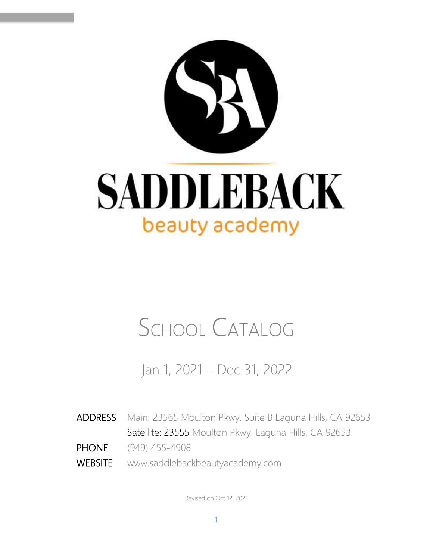

# SCHOOL CATALOG

Jan 1, 2021 – Dec 31, 2022

- ADDRESS Main: 23565 Moulton Pkwy. Suite B Laguna Hills, CA 92653 Satellite: 23555 Moulton Pkwy. Laguna Hills, CA 92653 PHONE (949) 455-4908
- WEBSITE www.saddlebackbeautyacademy.com

Revised on Oct 12, 2021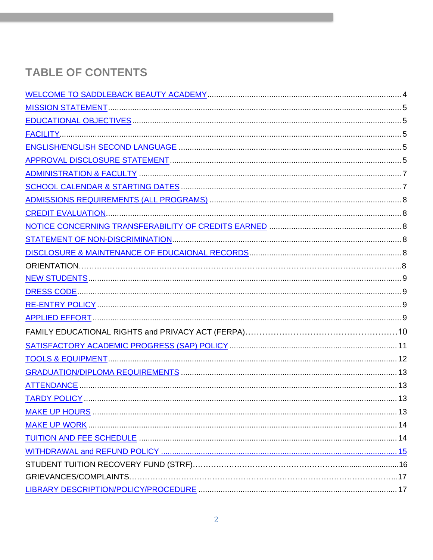# **TABLE OF CONTENTS**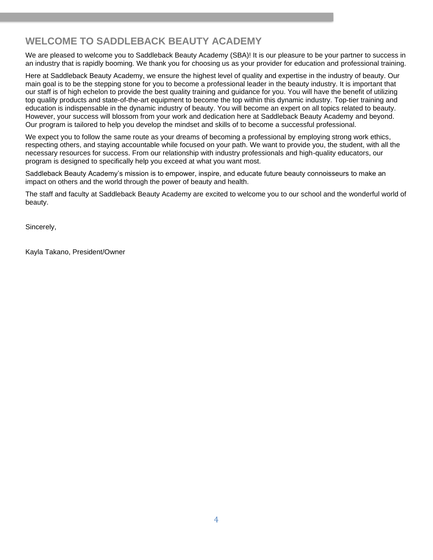# <span id="page-3-0"></span>**WELCOME TO SADDLEBACK BEAUTY ACADEMY**

We are pleased to welcome you to Saddleback Beauty Academy (SBA)! It is our pleasure to be your partner to success in an industry that is rapidly booming. We thank you for choosing us as your provider for education and professional training.

Here at Saddleback Beauty Academy, we ensure the highest level of quality and expertise in the industry of beauty. Our main goal is to be the stepping stone for you to become a professional leader in the beauty industry. It is important that our staff is of high echelon to provide the best quality training and guidance for you. You will have the benefit of utilizing top quality products and state-of-the-art equipment to become the top within this dynamic industry. Top-tier training and education is indispensable in the dynamic industry of beauty. You will become an expert on all topics related to beauty. However, your success will blossom from your work and dedication here at Saddleback Beauty Academy and beyond. Our program is tailored to help you develop the mindset and skills of to become a successful professional.

We expect you to follow the same route as your dreams of becoming a professional by employing strong work ethics, respecting others, and staying accountable while focused on your path. We want to provide you, the student, with all the necessary resources for success. From our relationship with industry professionals and high-quality educators, our program is designed to specifically help you exceed at what you want most.

Saddleback Beauty Academy's mission is to empower, inspire, and educate future beauty connoisseurs to make an impact on others and the world through the power of beauty and health.

The staff and faculty at Saddleback Beauty Academy are excited to welcome you to our school and the wonderful world of beauty.

Sincerely,

Kayla Takano, President/Owner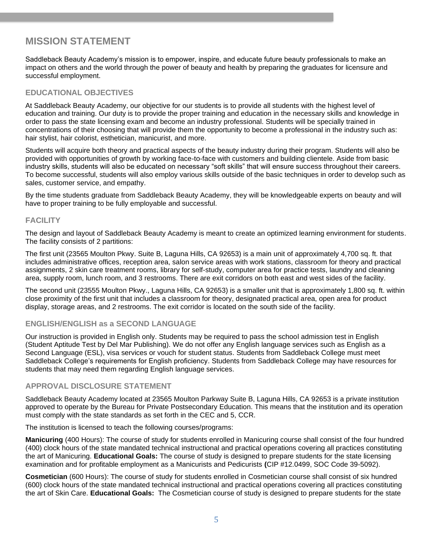# <span id="page-4-0"></span>**MISSION STATEMENT**

<span id="page-4-1"></span>Saddleback Beauty Academy's mission is to empower, inspire, and educate future beauty professionals to make an impact on others and the world through the power of beauty and health by preparing the graduates for licensure and successful employment.

### **EDUCATIONAL OBJECTIVES**

At Saddleback Beauty Academy, our objective for our students is to provide all students with the highest level of education and training. Our duty is to provide the proper training and education in the necessary skills and knowledge in order to pass the state licensing exam and become an industry professional. Students will be specially trained in concentrations of their choosing that will provide them the opportunity to become a professional in the industry such as: hair stylist, hair colorist, esthetician, manicurist, and more.

Students will acquire both theory and practical aspects of the beauty industry during their program. Students will also be provided with opportunities of growth by working face-to-face with customers and building clientele. Aside from basic industry skills, students will also be educated on necessary "soft skills" that will ensure success throughout their careers. To become successful, students will also employ various skills outside of the basic techniques in order to develop such as sales, customer service, and empathy.

By the time students graduate from Saddleback Beauty Academy, they will be knowledgeable experts on beauty and will have to proper training to be fully employable and successful.

#### <span id="page-4-2"></span>**FACILITY**

<span id="page-4-3"></span>The design and layout of Saddleback Beauty Academy is meant to create an optimized learning environment for students. The facility consists of 2 partitions:

The first unit (23565 Moulton Pkwy. Suite B, Laguna Hills, CA 92653) is a main unit of approximately 4,700 sq. ft. that includes administrative offices, reception area, salon service areas with work stations, classroom for theory and practical assignments, 2 skin care treatment rooms, library for self-study, computer area for practice tests, laundry and cleaning area, supply room, lunch room, and 3 restrooms. There are exit corridors on both east and west sides of the facility.

The second unit (23555 Moulton Pkwy., Laguna Hills, CA 92653) is a smaller unit that is approximately 1,800 sq. ft. within close proximity of the first unit that includes a classroom for theory, designated practical area, open area for product display, storage areas, and 2 restrooms. The exit corridor is located on the south side of the facility.

#### **ENGLISH/ENGLISH as a SECOND LANGUAGE**

<span id="page-4-4"></span>Our instruction is provided in English only. Students may be required to pass the school admission test in English (Student Aptitude Test by Del Mar Publishing). We do not offer any English language services such as English as a Second Language (ESL), visa services or vouch for student status. Students from Saddleback College must meet Saddleback College's requirements for English proficiency. Students from Saddleback College may have resources for students that may need them regarding English language services.

#### **APPROVAL DISCLOSURE STATEMENT**

Saddleback Beauty Academy located at 23565 Moulton Parkway Suite B, Laguna Hills, CA 92653 is a private institution approved to operate by the Bureau for Private Postsecondary Education. This means that the institution and its operation must comply with the state standards as set forth in the CEC and 5, CCR.

The institution is licensed to teach the following courses/programs:

**Manicuring** (400 Hours): The course of study for students enrolled in Manicuring course shall consist of the four hundred (400) clock hours of the state mandated technical instructional and practical operations covering all practices constituting the art of Manicuring. **Educational Goals:** The course of study is designed to prepare students for the state licensing examination and for profitable employment as a Manicurists and Pedicurists **(**CIP #12.0499, SOC Code 39-5092).

**Cosmetician** (600 Hours): The course of study for students enrolled in Cosmetician course shall consist of six hundred (600) clock hours of the state mandated technical instructional and practical operations covering all practices constituting the art of Skin Care. **Educational Goals:** The Cosmetician course of study is designed to prepare students for the state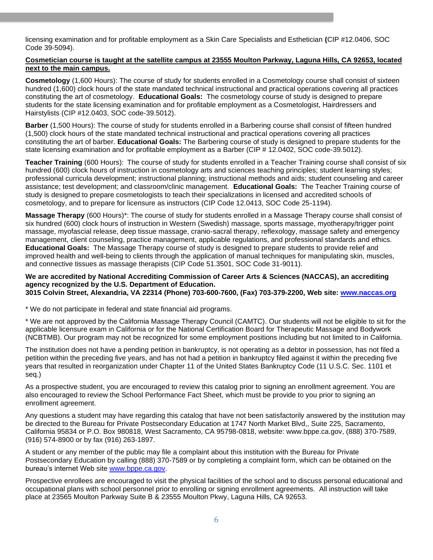licensing examination and for profitable employment as a Skin Care Specialists and Esthetician **(**CIP #12.0406, SOC Code 39-5094).

#### **Cosmetician course is taught at the satellite campus at 23555 Moulton Parkway, Laguna Hills, CA 92653, located next to the main campus.**

**Cosmetology** (1,600 Hours): The course of study for students enrolled in a Cosmetology course shall consist of sixteen hundred (1,600) clock hours of the state mandated technical instructional and practical operations covering all practices constituting the art of cosmetology. **Educational Goals:** The cosmetology course of study is designed to prepare students for the state licensing examination and for profitable employment as a Cosmetologist, Hairdressers and Hairstylists (CIP #12.0403, SOC code-39.5012).

**Barber** (1,500 Hours): The course of study for students enrolled in a Barbering course shall consist of fifteen hundred (1,500) clock hours of the state mandated technical instructional and practical operations covering all practices constituting the art of barber. **Educational Goals:** The Barbering course of study is designed to prepare students for the state licensing examination and for profitable employment as a Barber (CIP # 12.0402, SOC code-39.5012).

**Teacher Training** (600 Hours): The course of study for students enrolled in a Teacher Training course shall consist of six hundred (600) clock hours of instruction in cosmetology arts and sciences teaching principles; student learning styles; professional curricula development; instructional planning; instructional methods and aids; student counseling and career assistance; test development; and classroom/clinic management. **Educational Goals:** The Teacher Training course of study is designed to prepare cosmetologists to teach their specializations in licensed and accredited schools of cosmetology, and to prepare for licensure as instructors (CIP Code 12.0413, SOC Code 25-1194).

**Massage Therapy** (600 Hours)\*: The course of study for students enrolled in a Massage Therapy course shall consist of six hundred (600) clock hours of instruction in Western (Swedish) massage, sports massage, myotherapy/trigger point massage, myofascial release, deep tissue massage, cranio-sacral therapy, reflexology, massage safety and emergency management, client counseling, practice management, applicable regulations, and professional standards and ethics. **Educational Goals:** The Massage Therapy course of study is designed to prepare students to provide relief and improved health and well-being to clients through the application of manual techniques for manipulating skin, muscles, and connective tissues as massage therapists (CIP Code 51.3501, SOC Code 31-9011).

#### **We are accredited by National Accrediting Commission of Career Arts & Sciences (NACCAS), an accrediting agency recognized by the U.S. Department of Education. 3015 Colvin Street, Alexandria, VA 22314 (Phone) 703-600-7600, (Fax) 703-379-2200, Web site: [www.naccas.org](about:blank)**

\* We do not participate in federal and state financial aid programs.

\* We are not approved by the California Massage Therapy Council (CAMTC). Our students will not be eligible to sit for the applicable licensure exam in California or for the National Certification Board for Therapeutic Massage and Bodywork (NCBTMB). Our program may not be recognized for some employment positions including but not limited to in California.

The institution does not have a pending petition in bankruptcy, is not operating as a debtor in possession, has not filed a petition within the preceding five years, and has not had a petition in bankruptcy filed against it within the preceding five years that resulted in reorganization under Chapter 11 of the United States Bankruptcy Code (11 U.S.C. Sec. 1101 et seq.)

As a prospective student, you are encouraged to review this catalog prior to signing an enrollment agreement. You are also encouraged to review the School Performance Fact Sheet, which must be provide to you prior to signing an enrollment agreement.

Any questions a student may have regarding this catalog that have not been satisfactorily answered by the institution may be directed to the Bureau for Private Postsecondary Education at 1747 North Market Blvd,, Suite 225, Sacramento, California 95834 or P.O. Box 980818, West Sacramento, CA 95798-0818, website: www.bppe.ca.gov, (888) 370-7589, (916) 574-8900 or by fax (916) 263-1897.

A student or any member of the public may file a complaint about this institution with the Bureau for Private Postsecondary Education by calling (888) 370-7589 or by completing a complaint form, which can be obtained on the bureau's internet Web site [www.bppe.ca.gov.](about:blank)

Prospective enrollees are encouraged to visit the physical facilities of the school and to discuss personal educational and occupational plans with school personnel prior to enrolling or signing enrollment agreements. All instruction will take place at 23565 Moulton Parkway Suite B & 23555 Moulton Pkwy, Laguna Hills, CA 92653.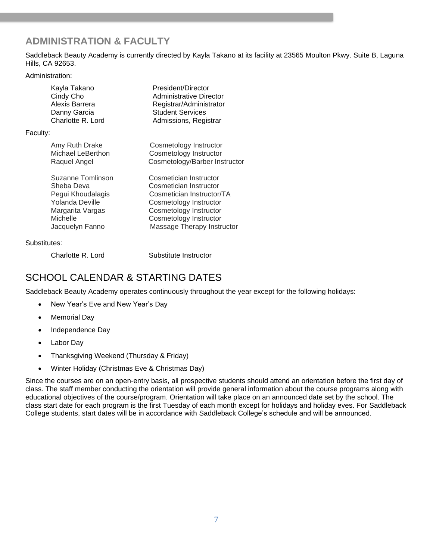# <span id="page-6-0"></span>**ADMINISTRATION & FACULTY**

Saddleback Beauty Academy is currently directed by Kayla Takano at its facility at 23565 Moulton Pkwy. Suite B, Laguna Hills, CA 92653.

Administration:

| Kayla Takano      | President/Director            |
|-------------------|-------------------------------|
| Cindy Cho         | Administrative Director       |
| Alexis Barrera    | Registrar/Administrator       |
| Danny Garcia      | <b>Student Services</b>       |
| Charlotte R. Lord | Admissions, Registrar         |
| Faculty:          |                               |
| Amy Ruth Drake    | Cosmetology Instructor        |
| Michael LeBerthon | Cosmetology Instructor        |
| Raquel Angel      | Cosmetology/Barber Instructor |
| Suzanne Tomlinson | Cosmetician Instructor        |
| Sheba Deva        | Cosmetician Instructor        |
| Pegui Khoudalagis | Cosmetician Instructor/TA     |
| Yolanda Deville   | Cosmetology Instructor        |
| Margarita Vargas  | Cosmetology Instructor        |
| Michelle          | Cosmetology Instructor        |
| Jacquelyn Fanno   | Massage Therapy Instructor    |
| Substitutes:      |                               |

<span id="page-6-1"></span>

Charlotte R. Lord Substitute Instructor

# SCHOOL CALENDAR & STARTING DATES

Saddleback Beauty Academy operates continuously throughout the year except for the following holidays:

- New Year's Eve and New Year's Day
- Memorial Day
- Independence Day
- Labor Day
- Thanksgiving Weekend (Thursday & Friday)
- Winter Holiday (Christmas Eve & Christmas Day)

Since the courses are on an open-entry basis, all prospective students should attend an orientation before the first day of class. The staff member conducting the orientation will provide general information about the course programs along with educational objectives of the course/program. Orientation will take place on an announced date set by the school. The class start date for each program is the first Tuesday of each month except for holidays and holiday eves. For Saddleback College students, start dates will be in accordance with Saddleback College's schedule and will be announced.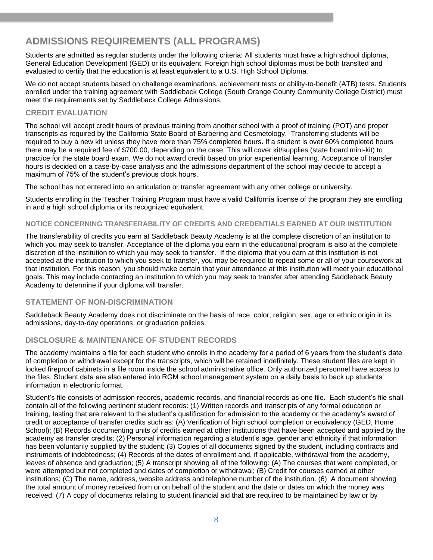### <span id="page-7-0"></span>**ADMISSIONS REQUIREMENTS (ALL PROGRAMS)**

Students are admitted as regular students under the following criteria: All students must have a high school diploma, General Education Development (GED) or its equivalent. Foreign high school diplomas must be both translted and evaluated to certify that the education is at least equivalent to a U.S. High School Diploma.

We do not accept students based on challenge examinations, achievement tests or ability-to-benefit (ATB) tests. Students enrolled under the training agreement with Saddleback College (South Orange County Community College District) must meet the requirements set by Saddleback College Admissions.

### <span id="page-7-1"></span>**CREDIT EVALUATION**

The school will accept credit hours of previous training from another school with a proof of training (POT) and proper transcripts as required by the California State Board of Barbering and Cosmetology. Transferring students will be required to buy a new kit unless they have more than 75% completed hours. If a student is over 60% completed hours there may be a required fee of \$700.00, depending on the case. This will cover kit/supplies (state board mini-kit) to practice for the state board exam. We do not award credit based on prior experiential learning. Acceptance of transfer hours is decided on a case-by-case analysis and the admissions department of the school may decide to accept a maximum of 75% of the student's previous clock hours.

The school has not entered into an articulation or transfer agreement with any other college or university.

Students enrolling in the Teacher Training Program must have a valid California license of the program they are enrolling in and a high school diploma or its recognized equivalent.

#### <span id="page-7-2"></span>**NOTICE CONCERNING TRANSFERABILITY OF CREDITS AND CREDENTIALS EARNED AT OUR INSTITUTION**

The transferability of credits you earn at Saddleback Beauty Academy is at the complete discretion of an institution to which you may seek to transfer. Acceptance of the diploma you earn in the educational program is also at the complete discretion of the institution to which you may seek to transfer. If the diploma that you earn at this institution is not accepted at the institution to which you seek to transfer, you may be required to repeat some or all of your coursework at that institution. For this reason, you should make certain that your attendance at this institution will meet your educational goals. This may include contacting an institution to which you may seek to transfer after attending Saddleback Beauty Academy to determine if your diploma will transfer.

#### <span id="page-7-3"></span>**STATEMENT OF NON-DISCRIMINATION**

Saddleback Beauty Academy does not discriminate on the basis of race, color, religion, sex, age or ethnic origin in its admissions, day-to-day operations, or graduation policies.

### <span id="page-7-4"></span>**DISCLOSURE & MAINTENANCE OF STUDENT RECORDS**

The academy maintains a file for each student who enrolls in the academy for a period of 6 years from the student's date of completion or withdrawal except for the transcripts, which will be retained indefinitely. These student files are kept in locked fireproof cabinets in a file room inside the school administrative office. Only authorized personnel have access to the files. Student data are also entered into RGM school management system on a daily basis to back up students' information in electronic format.

Student's file consists of admission records, academic records, and financial records as one file. Each student's file shall contain all of the following pertinent student records: (1) Written records and transcripts of any formal education or training, testing that are relevant to the student's qualification for admission to the academy or the academy's award of credit or acceptance of transfer credits such as: (A) Verification of high school completion or equivalency (GED, Home School); (B) Records documenting units of credits earned at other institutions that have been accepted and applied by the academy as transfer credits; (2) Personal information regarding a student's age, gender and ethnicity if that information has been voluntarily supplied by the student; (3) Copies of all documents signed by the student, including contracts and instruments of indebtedness; (4) Records of the dates of enrollment and, if applicable, withdrawal from the academy, leaves of absence and graduation; (5) A transcript showing all of the following: (A) The courses that were completed, or were attempted but not completed and dates of completion or withdrawal; (B) Credit for courses earned at other institutions; (C) The name, address, website address and telephone number of the institution. (6) A document showing the total amount of money received from or on behalf of the student and the date or dates on which the money was received; (7) A copy of documents relating to student financial aid that are required to be maintained by law or by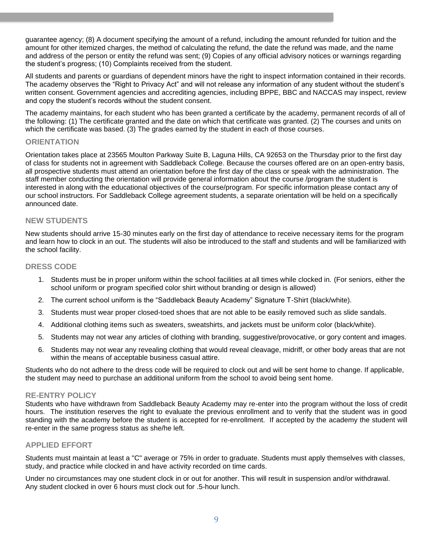guarantee agency; (8) A document specifying the amount of a refund, including the amount refunded for tuition and the amount for other itemized charges, the method of calculating the refund, the date the refund was made, and the name and address of the person or entity the refund was sent; (9) Copies of any official advisory notices or warnings regarding the student's progress; (10) Complaints received from the student.

All students and parents or guardians of dependent minors have the right to inspect information contained in their records. The academy observes the "Right to Privacy Act" and will not release any information of any student without the student's written consent. Government agencies and accrediting agencies, including BPPE, BBC and NACCAS may inspect, review and copy the student's records without the student consent.

The academy maintains, for each student who has been granted a certificate by the academy, permanent records of all of the following: (1) The certificate granted and the date on which that certificate was granted. (2) The courses and units on which the certificate was based. (3) The grades earned by the student in each of those courses.

#### **ORIENTATION**

Orientation takes place at 23565 Moulton Parkway Suite B, Laguna Hills, CA 92653 on the Thursday prior to the first day of class for students not in agreement with Saddleback College. Because the courses offered are on an open-entry basis, all prospective students must attend an orientation before the first day of the class or speak with the administration. The staff member conducting the orientation will provide general information about the course /program the student is interested in along with the educational objectives of the course/program. For specific information please contact any of our school instructors. For Saddleback College agreement students, a separate orientation will be held on a specifically announced date.

#### <span id="page-8-0"></span>**NEW STUDENTS**

New students should arrive 15-30 minutes early on the first day of attendance to receive necessary items for the program and learn how to clock in an out. The students will also be introduced to the staff and students and will be familiarized with the school facility.

#### <span id="page-8-1"></span>**DRESS CODE**

- 1. Students must be in proper uniform within the school facilities at all times while clocked in. (For seniors, either the school uniform or program specified color shirt without branding or design is allowed)
- 2. The current school uniform is the "Saddleback Beauty Academy" Signature T-Shirt (black/white).
- 3. Students must wear proper closed-toed shoes that are not able to be easily removed such as slide sandals.
- 4. Additional clothing items such as sweaters, sweatshirts, and jackets must be uniform color (black/white).
- 5. Students may not wear any articles of clothing with branding, suggestive/provocative, or gory content and images.
- 6. Students may not wear any revealing clothing that would reveal cleavage, midriff, or other body areas that are not within the means of acceptable business casual attire.

Students who do not adhere to the dress code will be required to clock out and will be sent home to change. If applicable, the student may need to purchase an additional uniform from the school to avoid being sent home.

#### <span id="page-8-2"></span>**RE-ENTRY POLICY**

<span id="page-8-3"></span>Students who have withdrawn from Saddleback Beauty Academy may re-enter into the program without the loss of credit hours. The institution reserves the right to evaluate the previous enrollment and to verify that the student was in good standing with the academy before the student is accepted for re-enrollment. If accepted by the academy the student will re-enter in the same progress status as she/he left.

#### **APPLIED EFFORT**

Students must maintain at least a "C" average or 75% in order to graduate. Students must apply themselves with classes, study, and practice while clocked in and have activity recorded on time cards.

Under no circumstances may one student clock in or out for another. This will result in suspension and/or withdrawal. Any student clocked in over 6 hours must clock out for .5-hour lunch.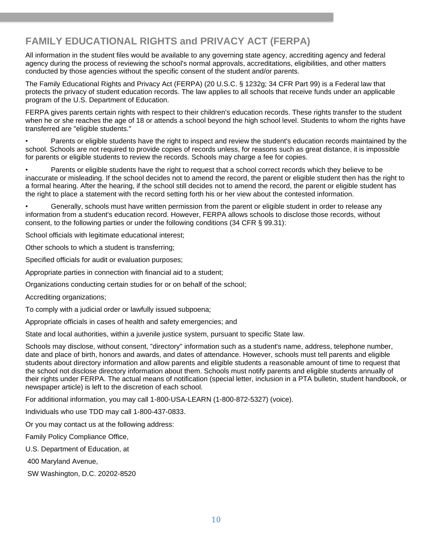# <span id="page-9-0"></span>**FAMILY EDUCATIONAL RIGHTS and PRIVACY ACT (FERPA)**

All information in the student files would be available to any governing state agency, accrediting agency and federal agency during the process of reviewing the school's normal approvals, accreditations, eligibilities, and other matters conducted by those agencies without the specific consent of the student and/or parents.

The Family Educational Rights and Privacy Act (FERPA) (20 U.S.C. § 1232g; 34 CFR Part 99) is a Federal law that protects the privacy of student education records. The law applies to all schools that receive funds under an applicable program of the U.S. Department of Education.

FERPA gives parents certain rights with respect to their children's education records. These rights transfer to the student when he or she reaches the age of 18 or attends a school beyond the high school level. Students to whom the rights have transferred are "eligible students."

• Parents or eligible students have the right to inspect and review the student's education records maintained by the school. Schools are not required to provide copies of records unless, for reasons such as great distance, it is impossible for parents or eligible students to review the records. Schools may charge a fee for copies.

• Parents or eligible students have the right to request that a school correct records which they believe to be inaccurate or misleading. If the school decides not to amend the record, the parent or eligible student then has the right to a formal hearing. After the hearing, if the school still decides not to amend the record, the parent or eligible student has the right to place a statement with the record setting forth his or her view about the contested information.

• Generally, schools must have written permission from the parent or eligible student in order to release any information from a student's education record. However, FERPA allows schools to disclose those records, without consent, to the following parties or under the following conditions (34 CFR § 99.31):

School officials with legitimate educational interest;

Other schools to which a student is transferring;

Specified officials for audit or evaluation purposes;

Appropriate parties in connection with financial aid to a student;

Organizations conducting certain studies for or on behalf of the school;

Accrediting organizations;

To comply with a judicial order or lawfully issued subpoena;

Appropriate officials in cases of health and safety emergencies; and

State and local authorities, within a juvenile justice system, pursuant to specific State law.

Schools may disclose, without consent, "directory" information such as a student's name, address, telephone number, date and place of birth, honors and awards, and dates of attendance. However, schools must tell parents and eligible students about directory information and allow parents and eligible students a reasonable amount of time to request that the school not disclose directory information about them. Schools must notify parents and eligible students annually of their rights under FERPA. The actual means of notification (special letter, inclusion in a PTA bulletin, student handbook, or newspaper article) is left to the discretion of each school.

For additional information, you may call 1-800-USA-LEARN (1-800-872-5327) (voice).

Individuals who use TDD may call 1-800-437-0833.

Or you may contact us at the following address:

Family Policy Compliance Office,

U.S. Department of Education, at

400 Maryland Avenue,

SW Washington, D.C. 20202-8520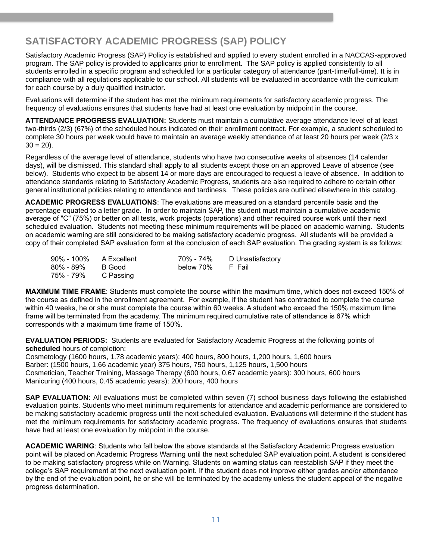# **SATISFACTORY ACADEMIC PROGRESS (SAP) POLICY**

Satisfactory Academic Progress (SAP) Policy is established and applied to every student enrolled in a NACCAS-approved program. The SAP policy is provided to applicants prior to enrollment. The SAP policy is applied consistently to all students enrolled in a specific program and scheduled for a particular category of attendance (part-time/full-time). It is in compliance with all regulations applicable to our school. All students will be evaluated in accordance with the curriculum for each course by a duly qualified instructor.

Evaluations will determine if the student has met the minimum requirements for satisfactory academic progress. The frequency of evaluations ensures that students have had at least one evaluation by midpoint in the course.

**ATTENDANCE PROGRESS EVALUATION:** Students must maintain a cumulative average attendance level of at least two-thirds (2/3) (67%) of the scheduled hours indicated on their enrollment contract. For example, a student scheduled to complete 30 hours per week would have to maintain an average weekly attendance of at least 20 hours per week (2/3 x  $30 = 20$ ).

Regardless of the average level of attendance, students who have two consecutive weeks of absences (14 calendar days), will be dismissed. This standard shall apply to all students except those on an approved Leave of absence (see below). Students who expect to be absent 14 or more days are encouraged to request a leave of absence. In addition to attendance standards relating to Satisfactory Academic Progress, students are also required to adhere to certain other general institutional policies relating to attendance and tardiness. These policies are outlined elsewhere in this catalog.

**ACADEMIC PROGRESS EVALUATIONS**: The evaluations are measured on a standard percentile basis and the percentage equated to a letter grade. In order to maintain SAP, the student must maintain a cumulative academic average of "C" (75%) or better on all tests, work projects (operations) and other required course work until their next scheduled evaluation. Students not meeting these minimum requirements will be placed on academic warning. Students on academic warning are still considered to be making satisfactory academic progress. All students will be provided a copy of their completed SAP evaluation form at the conclusion of each SAP evaluation. The grading system is as follows:

| 90% - 100% | A Excellent | 70% - 74% | D Unsatisfactory |
|------------|-------------|-----------|------------------|
| 80% - 89%  | B Good      | below 70% | - F Fail         |
| 75% - 79%  | C Passing   |           |                  |

**MAXIMUM TIME FRAME**: Students must complete the course within the maximum time, which does not exceed 150% of the course as defined in the enrollment agreement. For example, if the student has contracted to complete the course within 40 weeks, he or she must complete the course within 60 weeks. A student who exceed the 150% maximum time frame will be terminated from the academy. The minimum required cumulative rate of attendance is 67% which corresponds with a maximum time frame of 150%.

**EVALUATION PERIODS:** Students are evaluated for Satisfactory Academic Progress at the following points of **scheduled** hours of completion:

Cosmetology (1600 hours, 1.78 academic years): 400 hours, 800 hours, 1,200 hours, 1,600 hours Barber: (1500 hours, 1.66 academic year) 375 hours, 750 hours, 1,125 hours, 1,500 hours Cosmetician, Teacher Training, Massage Therapy (600 hours, 0.67 academic years): 300 hours, 600 hours Manicuring (400 hours, 0.45 academic years): 200 hours, 400 hours

**SAP EVALUATION:** All evaluations must be completed within seven (7) school business days following the established evaluation points. Students who meet minimum requirements for attendance and academic performance are considered to be making satisfactory academic progress until the next scheduled evaluation. Evaluations will determine if the student has met the minimum requirements for satisfactory academic progress. The frequency of evaluations ensures that students have had at least one evaluation by midpoint in the course.

**ACADEMIC WARING**: Students who fall below the above standards at the Satisfactory Academic Progress evaluation point will be placed on Academic Progress Warning until the next scheduled SAP evaluation point. A student is considered to be making satisfactory progress while on Warning. Students on warning status can reestablish SAP if they meet the college's SAP requirement at the next evaluation point. If the student does not improve either grades and/or attendance by the end of the evaluation point, he or she will be terminated by the academy unless the student appeal of the negative progress determination.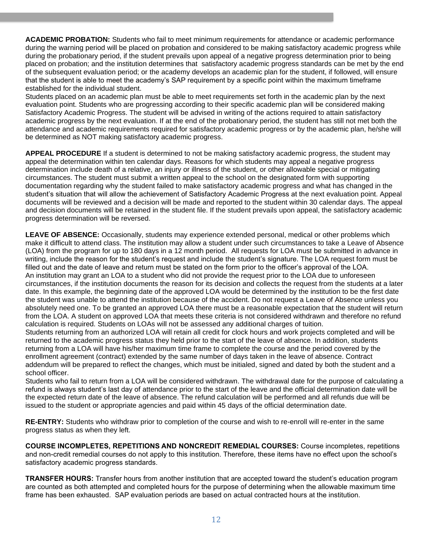**ACADEMIC PROBATION:** Students who fail to meet minimum requirements for attendance or academic performance during the warning period will be placed on probation and considered to be making satisfactory academic progress while during the probationary period, if the student prevails upon appeal of a negative progress determination prior to being placed on probation; and the institution determines that satisfactory academic progress standards can be met by the end of the subsequent evaluation period; or the academy develops an academic plan for the student, if followed, will ensure that the student is able to meet the academy's SAP requirement by a specific point within the maximum timeframe established for the individual student.

Students placed on an academic plan must be able to meet requirements set forth in the academic plan by the next evaluation point. Students who are progressing according to their specific academic plan will be considered making Satisfactory Academic Progress. The student will be advised in writing of the actions required to attain satisfactory academic progress by the next evaluation. If at the end of the probationary period, the student has still not met both the attendance and academic requirements required for satisfactory academic progress or by the academic plan, he/she will be determined as NOT making satisfactory academic progress.

**APPEAL PROCEDURE** If a student is determined to not be making satisfactory academic progress, the student may appeal the determination within ten calendar days. Reasons for which students may appeal a negative progress determination include death of a relative, an injury or illness of the student, or other allowable special or mitigating circumstances. The student must submit a written appeal to the school on the designated form with supporting documentation regarding why the student failed to make satisfactory academic progress and what has changed in the student's situation that will allow the achievement of Satisfactory Academic Progress at the next evaluation point. Appeal documents will be reviewed and a decision will be made and reported to the student within 30 calendar days. The appeal and decision documents will be retained in the student file. If the student prevails upon appeal, the satisfactory academic progress determination will be reversed.

**LEAVE OF ABSENCE:** Occasionally, students may experience extended personal, medical or other problems which make it difficult to attend class. The institution may allow a student under such circumstances to take a Leave of Absence (LOA) from the program for up to 180 days in a 12 month period. All requests for LOA must be submitted in advance in writing, include the reason for the student's request and include the student's signature. The LOA request form must be filled out and the date of leave and return must be stated on the form prior to the officer's approval of the LOA. An institution may grant an LOA to a student who did not provide the request prior to the LOA due to unforeseen circumstances, if the institution documents the reason for its decision and collects the request from the students at a later date. In this example, the beginning date of the approved LOA would be determined by the institution to be the first date the student was unable to attend the institution because of the accident. Do not request a Leave of Absence unless you absolutely need one. To be granted an approved LOA there must be a reasonable expectation that the student will return from the LOA. A student on approved LOA that meets these criteria is not considered withdrawn and therefore no refund calculation is required. Students on LOAs will not be assessed any additional charges of tuition.

Students returning from an authorized LOA will retain all credit for clock hours and work projects completed and will be returned to the academic progress status they held prior to the start of the leave of absence. In addition, students returning from a LOA will have his/her maximum time frame to complete the course and the period covered by the enrollment agreement (contract) extended by the same number of days taken in the leave of absence. Contract addendum will be prepared to reflect the changes, which must be initialed, signed and dated by both the student and a school officer.

Students who fail to return from a LOA will be considered withdrawn. The withdrawal date for the purpose of calculating a refund is always student's last day of attendance prior to the start of the leave and the official determination date will be the expected return date of the leave of absence. The refund calculation will be performed and all refunds due will be issued to the student or appropriate agencies and paid within 45 days of the official determination date.

**RE-ENTRY:** Students who withdraw prior to completion of the course and wish to re-enroll will re-enter in the same progress status as when they left.

**COURSE INCOMPLETES, REPETITIONS AND NONCREDIT REMEDIAL COURSES:** Course incompletes, repetitions and non-credit remedial courses do not apply to this institution. Therefore, these items have no effect upon the school's satisfactory academic progress standards.

**TRANSFER HOURS:** Transfer hours from another institution that are accepted toward the student's education program are counted as both attempted and completed hours for the purpose of determining when the allowable maximum time frame has been exhausted. SAP evaluation periods are based on actual contracted hours at the institution.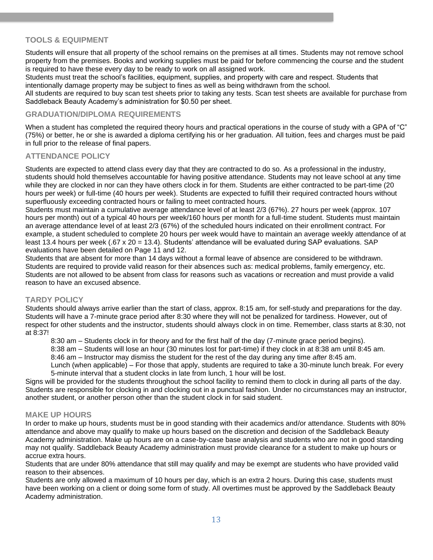### <span id="page-12-0"></span>**TOOLS & EQUIPMENT**

Students will ensure that all property of the school remains on the premises at all times. Students may not remove school property from the premises. Books and working supplies must be paid for before commencing the course and the student is required to have these every day to be ready to work on all assigned work.

Students must treat the school's facilities, equipment, supplies, and property with care and respect. Students that intentionally damage property may be subject to fines as well as being withdrawn from the school.

All students are required to buy scan test sheets prior to taking any tests. Scan test sheets are available for purchase from Saddleback Beauty Academy's administration for \$0.50 per sheet.

#### <span id="page-12-1"></span>**GRADUATION/DIPLOMA REQUIREMENTS**

<span id="page-12-2"></span>When a student has completed the required theory hours and practical operations in the course of study with a GPA of "C" (75%) or better, he or she is awarded a diploma certifying his or her graduation. All tuition, fees and charges must be paid in full prior to the release of final papers.

#### **ATTENDANCE POLICY**

Students are expected to attend class every day that they are contracted to do so. As a professional in the industry, students should hold themselves accountable for having positive attendance. Students may not leave school at any time while they are clocked in nor can they have others clock in for them. Students are either contracted to be part-time (20 hours per week) or full-time (40 hours per week). Students are expected to fulfill their required contracted hours without superfluously exceeding contracted hours or failing to meet contracted hours.

Students must maintain a cumulative average attendance level of at least 2/3 (67%). 27 hours per week (approx. 107 hours per month) out of a typical 40 hours per week/160 hours per month for a full-time student. Students must maintain an average attendance level of at least 2/3 (67%) of the scheduled hours indicated on their enrollment contract. For example, a student scheduled to complete 20 hours per week would have to maintain an average weekly attendance of at least 13.4 hours per week (.67 x 20 = 13.4). Students' attendance will be evaluated during SAP evaluations. SAP evaluations have been detailed on Page 11 and 12.

Students that are absent for more than 14 days without a formal leave of absence are considered to be withdrawn. Students are required to provide valid reason for their absences such as: medical problems, family emergency, etc. Students are not allowed to be absent from class for reasons such as vacations or recreation and must provide a valid reason to have an excused absence.

#### <span id="page-12-3"></span>**TARDY POLICY**

Students should always arrive earlier than the start of class, approx. 8:15 am, for self-study and preparations for the day. Students will have a 7-minute grace period after 8:30 where they will not be penalized for tardiness. However, out of respect for other students and the instructor, students should always clock in on time. Remember, class starts at 8:30, not at 8:37!

8:30 am – Students clock in for theory and for the first half of the day (7-minute grace period begins).

8:38 am – Students will lose an hour (30 minutes lost for part-time) if they clock in at 8:38 am until 8:45 am.

8:46 am – Instructor may dismiss the student for the rest of the day during any time *after* 8:45 am.

Lunch (when applicable) – For those that apply, students are required to take a 30-minute lunch break. For every 5-minute interval that a student clocks in late from lunch, 1 hour will be lost.

Signs will be provided for the students throughout the school facility to remind them to clock in during all parts of the day. Students are responsible for clocking in and clocking out in a punctual fashion. Under no circumstances may an instructor, another student, or another person other than the student clock in for said student.

#### <span id="page-12-4"></span>**MAKE UP HOURS**

In order to make up hours, students must be in good standing with their academics and/or attendance. Students with 80% attendance and above may qualify to make up hours based on the discretion and decision of the Saddleback Beauty Academy administration. Make up hours are on a case-by-case base analysis and students who are not in good standing may not qualify. Saddleback Beauty Academy administration must provide clearance for a student to make up hours or accrue extra hours.

Students that are under 80% attendance that still may qualify and may be exempt are students who have provided valid reason to their absences.

Students are only allowed a maximum of 10 hours per day, which is an extra 2 hours. During this case, students must have been working on a client or doing some form of study. All overtimes must be approved by the Saddleback Beauty Academy administration.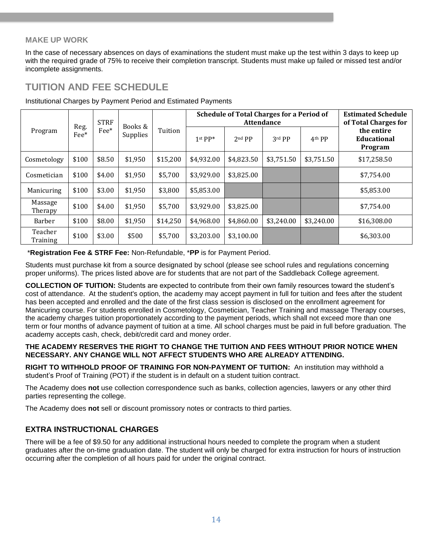### <span id="page-13-0"></span>**MAKE UP WORK**

In the case of necessary absences on days of examinations the student must make up the test within 3 days to keep up with the required grade of 75% to receive their completion transcript. Students must make up failed or missed test and/or incomplete assignments.

### <span id="page-13-1"></span>**TUITION AND FEE SCHEDULE**

| <b>STRF</b><br>Books &<br>Reg.<br>$\text{Fe}^*$<br>Program<br>Fee*<br>Supplies |       | <b>Schedule of Total Charges for a Period of</b><br><b>Attendance</b> |         |          |            | <b>Estimated Schedule</b><br>of Total Charges for |            |                    |                                             |
|--------------------------------------------------------------------------------|-------|-----------------------------------------------------------------------|---------|----------|------------|---------------------------------------------------|------------|--------------------|---------------------------------------------|
|                                                                                |       |                                                                       |         | Tuition  | $1st PP*$  | 2nd PP                                            | 3rd PP     | 4 <sup>th</sup> PP | the entire<br><b>Educational</b><br>Program |
| Cosmetology                                                                    | \$100 | \$8.50                                                                | \$1,950 | \$15,200 | \$4,932.00 | \$4,823.50                                        | \$3,751.50 | \$3,751.50         | \$17,258.50                                 |
| Cosmetician                                                                    | \$100 | \$4.00                                                                | \$1,950 | \$5,700  | \$3,929.00 | \$3,825.00                                        |            |                    | \$7,754.00                                  |
| Manicuring                                                                     | \$100 | \$3.00                                                                | \$1,950 | \$3,800  | \$5,853.00 |                                                   |            |                    | \$5,853.00                                  |
| Massage<br>Therapy                                                             | \$100 | \$4.00                                                                | \$1,950 | \$5,700  | \$3,929.00 | \$3,825.00                                        |            |                    | \$7,754.00                                  |
| Barber                                                                         | \$100 | \$8.00                                                                | \$1,950 | \$14,250 | \$4,968.00 | \$4,860.00                                        | \$3,240.00 | \$3,240.00         | \$16,308.00                                 |
| Teacher<br>Training                                                            | \$100 | \$3.00                                                                | \$500   | \$5,700  | \$3,203.00 | \$3,100.00                                        |            |                    | \$6,303.00                                  |

Institutional Charges by Payment Period and Estimated Payments

\***Registration Fee & STRF Fee:** Non-Refundable, \***PP** is for Payment Period.

Students must purchase kit from a source designated by school (please see school rules and regulations concerning proper uniforms). The prices listed above are for students that are not part of the Saddleback College agreement.

**COLLECTION OF TUITION:** Students are expected to contribute from their own family resources toward the student's cost of attendance. At the student's option, the academy may accept payment in full for tuition and fees after the student has been accepted and enrolled and the date of the first class session is disclosed on the enrollment agreement for Manicuring course. For students enrolled in Cosmetology, Cosmetician, Teacher Training and massage Therapy courses, the academy charges tuition proportionately according to the payment periods, which shall not exceed more than one term or four months of advance payment of tuition at a time. All school charges must be paid in full before graduation. The academy accepts cash, check, debit/credit card and money order.

#### **THE ACADEMY RESERVES THE RIGHT TO CHANGE THE TUITION AND FEES WITHOUT PRIOR NOTICE WHEN NECESSARY. ANY CHANGE WILL NOT AFFECT STUDENTS WHO ARE ALREADY ATTENDING.**

**RIGHT TO WITHHOLD PROOF OF TRAINING FOR NON-PAYMENT OF TUITION:** An institution may withhold a student's Proof of Training (POT) if the student is in default on a student tuition contract.

The Academy does **not** use collection correspondence such as banks, collection agencies, lawyers or any other third parties representing the college.

The Academy does **not** sell or discount promissory notes or contracts to third parties.

### **EXTRA INSTRUCTIONAL CHARGES**

There will be a fee of \$9.50 for any additional instructional hours needed to complete the program when a student graduates after the on-time graduation date. The student will only be charged for extra instruction for hours of instruction occurring after the completion of all hours paid for under the original contract.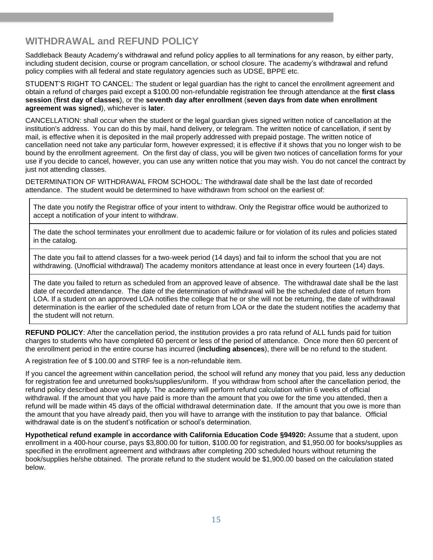### **WITHDRAWAL and REFUND POLICY**

Saddleback Beauty Academy's withdrawal and refund policy applies to all terminations for any reason, by either party, including student decision, course or program cancellation, or school closure. The academy's withdrawal and refund policy complies with all federal and state regulatory agencies such as UDSE, BPPE etc.

STUDENT'S RIGHT TO CANCEL: The student or legal guardian has the right to cancel the enrollment agreement and obtain a refund of charges paid except a \$100.00 non-refundable registration fee through attendance at the **first class session** (**first day of classes**), or the **seventh day after enrollment** (**seven days from date when enrollment agreement was signed**), whichever is **later**.

CANCELLATION: shall occur when the student or the legal guardian gives signed written notice of cancellation at the institution's address. You can do this by mail, hand delivery, or telegram. The written notice of cancellation, if sent by mail, is effective when it is deposited in the mail properly addressed with prepaid postage. The written notice of cancellation need not take any particular form, however expressed; it is effective if it shows that you no longer wish to be bound by the enrollment agreement. On the first day of class, you will be given two notices of cancellation forms for your use if you decide to cancel, however, you can use any written notice that you may wish. You do not cancel the contract by just not attending classes.

DETERMINATION OF WITHDRAWAL FROM SCHOOL: The withdrawal date shall be the last date of recorded attendance. The student would be determined to have withdrawn from school on the earliest of:

The date you notify the Registrar office of your intent to withdraw. Only the Registrar office would be authorized to accept a notification of your intent to withdraw.

The date the school terminates your enrollment due to academic failure or for violation of its rules and policies stated in the catalog.

The date you fail to attend classes for a two-week period (14 days) and fail to inform the school that you are not withdrawing. (Unofficial withdrawal) The academy monitors attendance at least once in every fourteen (14) days.

The date you failed to return as scheduled from an approved leave of absence. The withdrawal date shall be the last date of recorded attendance. The date of the determination of withdrawal will be the scheduled date of return from LOA. If a student on an approved LOA notifies the college that he or she will not be returning, the date of withdrawal determination is the earlier of the scheduled date of return from LOA or the date the student notifies the academy that the student will not return.

**REFUND POLICY**: After the cancellation period, the institution provides a pro rata refund of ALL funds paid for tuition charges to students who have completed 60 percent or less of the period of attendance. Once more then 60 percent of the enrollment period in the entire course has incurred (**including absences**), there will be no refund to the student.

A registration fee of \$ 100.00 and STRF fee is a non-refundable item.

If you cancel the agreement within cancellation period, the school will refund any money that you paid, less any deduction for registration fee and unreturned books/supplies/uniform. If you withdraw from school after the cancellation period, the refund policy described above will apply. The academy will perform refund calculation within 6 weeks of official withdrawal. If the amount that you have paid is more than the amount that you owe for the time you attended, then a refund will be made within 45 days of the official withdrawal determination date. If the amount that you owe is more than the amount that you have already paid, then you will have to arrange with the institution to pay that balance. Official withdrawal date is on the student's notification or school's determination.

**Hypothetical refund example in accordance with California Education Code §94920:** Assume that a student, upon enrollment in a 400-hour course, pays \$3,800.00 for tuition, \$100.00 for registration, and \$1,950.00 for books/supplies as specified in the enrollment agreement and withdraws after completing 200 scheduled hours without returning the book/supplies he/she obtained. The prorate refund to the student would be \$1,900.00 based on the calculation stated below.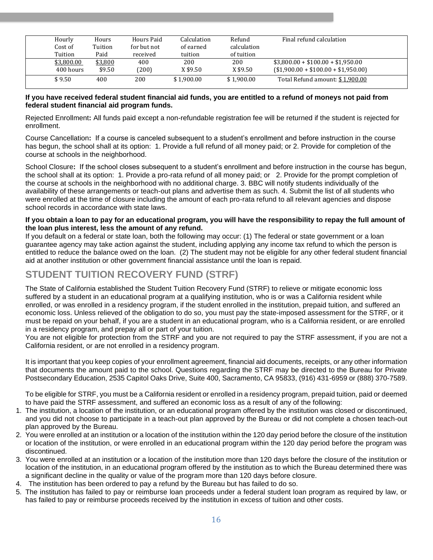| Hourly     | Hours   | Hours Paid  | Calculation | Refund      | Final refund calculation            |  |
|------------|---------|-------------|-------------|-------------|-------------------------------------|--|
| Cost of    | Tuition | for but not | of earned   | calculation |                                     |  |
| Tuition    | Paid    | received    | tuition     | of tuition  |                                     |  |
| \$3,800.00 | \$3,800 | 400         | 200         | 200         | $$3,800.00 + $100.00 + $1,950.00$   |  |
| 400 hours  | \$9.50  | (200)       | X \$9.50    | X \$9.50    | $($1,900.00 + $100.00 + $1,950.00)$ |  |
| \$9.50     | 400     | 200         | \$1.900.00  | \$1.900.00  | Total Refund amount: \$1,900.00     |  |

#### **If you have received federal student financial aid funds, you are entitled to a refund of moneys not paid from federal student financial aid program funds.**

Rejected Enrollment**:** All funds paid except a non-refundable registration fee will be returned if the student is rejected for enrollment.

Course Cancellation**:** If a course is canceled subsequent to a student's enrollment and before instruction in the course has begun, the school shall at its option: 1. Provide a full refund of all money paid; or 2. Provide for completion of the course at schools in the neighborhood.

School Closure**:** If the school closes subsequent to a student's enrollment and before instruction in the course has begun, the school shall at its option: 1. Provide a pro-rata refund of all money paid; or 2. Provide for the prompt completion of the course at schools in the neighborhood with no additional charge. 3. BBC will notify students individually of the availability of these arrangements or teach-out plans and advertise them as such. 4. Submit the list of all students who were enrolled at the time of closure including the amount of each pro-rata refund to all relevant agencies and dispose school records in accordance with state laws.

#### **If you obtain a loan to pay for an educational program, you will have the responsibility to repay the full amount of the loan plus interest, less the amount of any refund.**

If you default on a federal or state loan, both the following may occur: (1) The federal or state government or a loan guarantee agency may take action against the student, including applying any income tax refund to which the person is entitled to reduce the balance owed on the loan. (2) The student may not be eligible for any other federal student financial aid at another institution or other government financial assistance until the loan is repaid.

# <span id="page-15-0"></span>**STUDENT TUITION RECOVERY FUND (STRF)**

The State of California established the Student Tuition Recovery Fund (STRF) to relieve or mitigate economic loss suffered by a student in an educational program at a qualifying institution, who is or was a California resident while enrolled, or was enrolled in a residency program, if the student enrolled in the institution, prepaid tuition, and suffered an economic loss. Unless relieved of the obligation to do so, you must pay the state-imposed assessment for the STRF, or it must be repaid on your behalf, if you are a student in an educational program, who is a California resident, or are enrolled in a residency program, and prepay all or part of your tuition.

You are not eligible for protection from the STRF and you are not required to pay the STRF assessment, if you are not a California resident, or are not enrolled in a residency program.

It is important that you keep copies of your enrollment agreement, financial aid documents, receipts, or any other information that documents the amount paid to the school. Questions regarding the STRF may be directed to the Bureau for Private Postsecondary Education, 2535 Capitol Oaks Drive, Suite 400, Sacramento, CA 95833, (916) 431-6959 or (888) 370-7589.

To be eligible for STRF, you must be a California resident or enrolled in a residency program, prepaid tuition, paid or deemed to have paid the STRF assessment, and suffered an economic loss as a result of any of the following:

- 1. The institution, a location of the institution, or an educational program offered by the institution was closed or discontinued, and you did not choose to participate in a teach-out plan approved by the Bureau or did not complete a chosen teach-out plan approved by the Bureau.
- 2. You were enrolled at an institution or a location of the institution within the 120 day period before the closure of the institution or location of the institution, or were enrolled in an educational program within the 120 day period before the program was discontinued.
- 3. You were enrolled at an institution or a location of the institution more than 120 days before the closure of the institution or location of the institution, in an educational program offered by the institution as to which the Bureau determined there was a significant decline in the quality or value of the program more than 120 days before closure.
- 4. The institution has been ordered to pay a refund by the Bureau but has failed to do so.
- 5. The institution has failed to pay or reimburse loan proceeds under a federal student loan program as required by law, or has failed to pay or reimburse proceeds received by the institution in excess of tuition and other costs.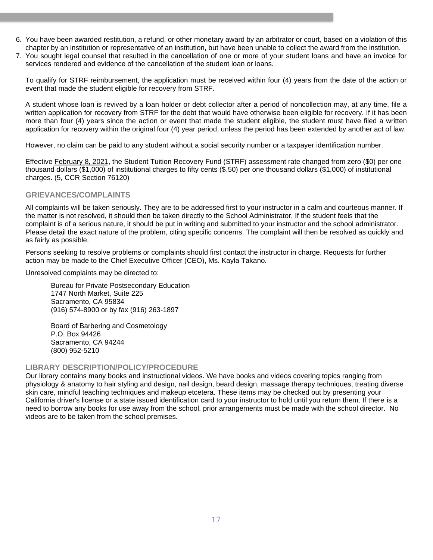- 6. You have been awarded restitution, a refund, or other monetary award by an arbitrator or court, based on a violation of this chapter by an institution or representative of an institution, but have been unable to collect the award from the institution.
- 7. You sought legal counsel that resulted in the cancellation of one or more of your student loans and have an invoice for services rendered and evidence of the cancellation of the student loan or loans.

To qualify for STRF reimbursement, the application must be received within four (4) years from the date of the action or event that made the student eligible for recovery from STRF.

A student whose loan is revived by a loan holder or debt collector after a period of noncollection may, at any time, file a written application for recovery from STRF for the debt that would have otherwise been eligible for recovery. If it has been more than four (4) years since the action or event that made the student eligible, the student must have filed a written application for recovery within the original four (4) year period, unless the period has been extended by another act of law.

However, no claim can be paid to any student without a social security number or a taxpayer identification number.

Effective February 8, 2021, the Student Tuition Recovery Fund (STRF) assessment rate changed from zero (\$0) per one thousand dollars (\$1,000) of institutional charges to fifty cents (\$.50) per one thousand dollars (\$1,000) of institutional charges. (5, CCR Section 76120)

#### **GRIEVANCES/COMPLAINTS**

All complaints will be taken seriously. They are to be addressed first to your instructor in a calm and courteous manner. If the matter is not resolved, it should then be taken directly to the School Administrator. If the student feels that the complaint is of a serious nature, it should be put in writing and submitted to your instructor and the school administrator. Please detail the exact nature of the problem, citing specific concerns. The complaint will then be resolved as quickly and as fairly as possible.

Persons seeking to resolve problems or complaints should first contact the instructor in charge. Requests for further action may be made to the Chief Executive Officer (CEO), Ms. Kayla Takano.

Unresolved complaints may be directed to:

Bureau for Private Postsecondary Education 1747 North Market, Suite 225 Sacramento, CA 95834 (916) 574-8900 or by fax (916) 263-1897

Board of Barbering and Cosmetology P.O. Box 94426 Sacramento, CA 94244 (800) 952-5210

#### <span id="page-16-0"></span>**LIBRARY DESCRIPTION/POLICY/PROCEDURE**

<span id="page-16-1"></span>Our library contains many books and instructional videos. We have books and videos covering topics ranging from physiology & anatomy to hair styling and design, nail design, beard design, massage therapy techniques, treating diverse skin care, mindful teaching techniques and makeup etcetera. These items may be checked out by presenting your California driver's license or a state issued identification card to your instructor to hold until you return them. If there is a need to borrow any books for use away from the school, prior arrangements must be made with the school director. No videos are to be taken from the school premises.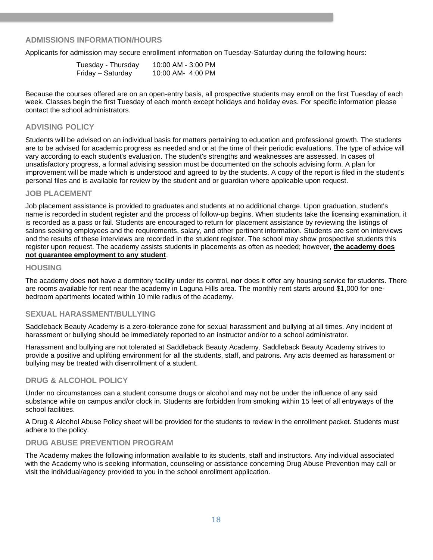#### **ADMISSIONS INFORMATION/HOURS**

Applicants for admission may secure enrollment information on Tuesday-Saturday during the following hours:

| Tuesday - Thursday | 10:00 AM - 3:00 PM |
|--------------------|--------------------|
| Friday – Saturday  | 10:00 AM- 4:00 PM  |

Because the courses offered are on an open-entry basis, all prospective students may enroll on the first Tuesday of each week. Classes begin the first Tuesday of each month except holidays and holiday eves. For specific information please contact the school administrators.

#### <span id="page-17-0"></span>**ADVISING POLICY**

Students will be advised on an individual basis for matters pertaining to education and professional growth. The students are to be advised for academic progress as needed and or at the time of their periodic evaluations. The type of advice will vary according to each student's evaluation. The student's strengths and weaknesses are assessed. In cases of unsatisfactory progress, a formal advising session must be documented on the schools advising form. A plan for improvement will be made which is understood and agreed to by the students. A copy of the report is filed in the student's personal files and is available for review by the student and or guardian where applicable upon request.

#### **JOB PLACEMENT**

Job placement assistance is provided to graduates and students at no additional charge. Upon graduation, student's name is recorded in student register and the process of follow-up begins. When students take the licensing examination, it is recorded as a pass or fail. Students are encouraged to return for placement assistance by reviewing the listings of salons seeking employees and the requirements, salary, and other pertinent information. Students are sent on interviews and the results of these interviews are recorded in the student register. The school may show prospective students this register upon request. The academy assists students in placements as often as needed; however, **the academy does not guarantee employment to any student**.

#### **HOUSING**

The academy does **not** have a dormitory facility under its control, **nor** does it offer any housing service for students. There are rooms available for rent near the academy in Laguna Hills area. The monthly rent starts around \$1,000 for onebedroom apartments located within 10 mile radius of the academy.

#### <span id="page-17-1"></span>**SEXUAL HARASSMENT/BULLYING**

Saddleback Beauty Academy is a zero-tolerance zone for sexual harassment and bullying at all times. Any incident of harassment or bullying should be immediately reported to an instructor and/or to a school administrator.

Harassment and bullying are not tolerated at Saddleback Beauty Academy. Saddleback Beauty Academy strives to provide a positive and uplifting environment for all the students, staff, and patrons. Any acts deemed as harassment or bullying may be treated with disenrollment of a student.

#### <span id="page-17-2"></span>**DRUG & ALCOHOL POLICY**

Under no circumstances can a student consume drugs or alcohol and may not be under the influence of any said substance while on campus and/or clock in. Students are forbidden from smoking within 15 feet of all entryways of the school facilities.

<span id="page-17-3"></span>A Drug & Alcohol Abuse Policy sheet will be provided for the students to review in the enrollment packet. Students must adhere to the policy.

#### **DRUG ABUSE PREVENTION PROGRAM**

<span id="page-17-4"></span>The Academy makes the following information available to its students, staff and instructors. Any individual associated with the Academy who is seeking information, counseling or assistance concerning Drug Abuse Prevention may call or visit the individual/agency provided to you in the school enrollment application.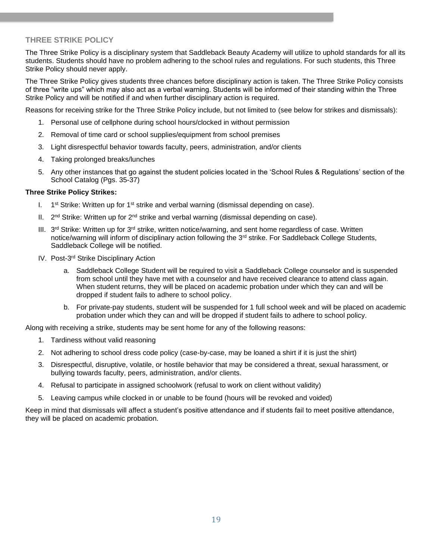### **THREE STRIKE POLICY**

The Three Strike Policy is a disciplinary system that Saddleback Beauty Academy will utilize to uphold standards for all its students. Students should have no problem adhering to the school rules and regulations. For such students, this Three Strike Policy should never apply.

The Three Strike Policy gives students three chances before disciplinary action is taken. The Three Strike Policy consists of three "write ups" which may also act as a verbal warning. Students will be informed of their standing within the Three Strike Policy and will be notified if and when further disciplinary action is required.

Reasons for receiving strike for the Three Strike Policy include, but not limited to (see below for strikes and dismissals):

- 1. Personal use of cellphone during school hours/clocked in without permission
- 2. Removal of time card or school supplies/equipment from school premises
- 3. Light disrespectful behavior towards faculty, peers, administration, and/or clients
- 4. Taking prolonged breaks/lunches
- 5. Any other instances that go against the student policies located in the 'School Rules & Regulations' section of the School Catalog (Pgs. 35-37)

#### **Three Strike Policy Strikes:**

- $\mathbf{I}$ .  $1<sup>st</sup>$  Strike: Written up for  $1<sup>st</sup>$  strike and verbal warning (dismissal depending on case).
- II.  $2<sup>nd</sup> Strike: Written up for  $2<sup>nd</sup>$  strike and verbal warning (dismissal depending on case).$
- III. 3<sup>rd</sup> Strike: Written up for 3<sup>rd</sup> strike, written notice/warning, and sent home regardless of case. Written notice/warning will inform of disciplinary action following the 3<sup>rd</sup> strike. For Saddleback College Students, Saddleback College will be notified.
- IV. Post-3<sup>rd</sup> Strike Disciplinary Action
	- a. Saddleback College Student will be required to visit a Saddleback College counselor and is suspended from school until they have met with a counselor and have received clearance to attend class again. When student returns, they will be placed on academic probation under which they can and will be dropped if student fails to adhere to school policy.
	- b. For private-pay students, student will be suspended for 1 full school week and will be placed on academic probation under which they can and will be dropped if student fails to adhere to school policy.

Along with receiving a strike, students may be sent home for any of the following reasons:

- 1. Tardiness without valid reasoning
- 2. Not adhering to school dress code policy (case-by-case, may be loaned a shirt if it is just the shirt)
- 3. Disrespectful, disruptive, volatile, or hostile behavior that may be considered a threat, sexual harassment, or bullying towards faculty, peers, administration, and/or clients.
- 4. Refusal to participate in assigned schoolwork (refusal to work on client without validity)
- 5. Leaving campus while clocked in or unable to be found (hours will be revoked and voided)

<span id="page-18-0"></span>Keep in mind that dismissals will affect a student's positive attendance and if students fail to meet positive attendance, they will be placed on academic probation.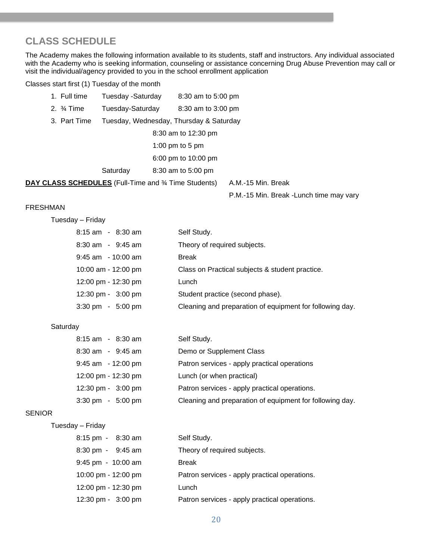# **CLASS SCHEDULE**

The Academy makes the following information available to its students, staff and instructors. Any individual associated with the Academy who is seeking information, counseling or assistance concerning Drug Abuse Prevention may call or visit the individual/agency provided to you in the school enrollment application

Classes start first (1) Tuesday of the month

| 1. Full time                                          | Tuesday -Saturday | 8:30 am to 5:00 pm                      |
|-------------------------------------------------------|-------------------|-----------------------------------------|
| 2. $\frac{3}{4}$ Time                                 | Tuesday-Saturday  | 8:30 am to 3:00 pm                      |
| 3. Part Time                                          |                   | Tuesday, Wednesday, Thursday & Saturday |
|                                                       |                   | 8:30 am to 12:30 pm                     |
|                                                       |                   | 1:00 pm to 5 pm                         |
|                                                       |                   | 6:00 pm to 10:00 pm                     |
|                                                       | Saturday          | 8:30 am to 5:00 pm                      |
| DAY CLASS SCHEDULES (Full-Time and 3⁄4 Time Students) |                   | A.M.-15 Min. Break                      |

P.M.-15 Min. Break -Lunch time may vary

#### FRESHMAN

Tuesday – Friday

| 8:15 am - 8:30 am                   | Self Study.                                              |
|-------------------------------------|----------------------------------------------------------|
| $8:30$ am $-9:45$ am                | Theory of required subjects.                             |
| $9:45$ am $-10:00$ am               | Break                                                    |
| 10:00 am - 12:00 pm                 | Class on Practical subjects & student practice.          |
| 12:00 pm - 12:30 pm                 | Lunch                                                    |
| 12:30 pm - 3:00 pm                  | Student practice (second phase).                         |
| $3:30 \text{ pm} - 5:00 \text{ pm}$ | Cleaning and preparation of equipment for following day. |

#### **Saturday**

| $8:15$ am $-8:30$ am                | Self Study.                                              |
|-------------------------------------|----------------------------------------------------------|
| $8:30$ am $-9:45$ am                | Demo or Supplement Class                                 |
| $9:45$ am $-12:00$ pm               | Patron services - apply practical operations             |
| 12:00 pm - 12:30 pm                 | Lunch (or when practical)                                |
| 12:30 pm - 3:00 pm                  | Patron services - apply practical operations.            |
| $3:30 \text{ pm} - 5:00 \text{ pm}$ | Cleaning and preparation of equipment for following day. |

### **SENIOR**

| Tuesday | Friday |
|---------|--------|
|---------|--------|

| 8:15 pm - 8:30 am                   | Self Study.                                   |
|-------------------------------------|-----------------------------------------------|
| $8:30 \text{ pm} - 9:45 \text{ am}$ | Theory of required subjects.                  |
| $9:45$ pm $-10:00$ am               | <b>Break</b>                                  |
| 10:00 pm - 12:00 pm                 | Patron services - apply practical operations. |
| 12:00 pm - 12:30 pm                 | Lunch                                         |
| 12:30 pm - 3:00 pm                  | Patron services - apply practical operations. |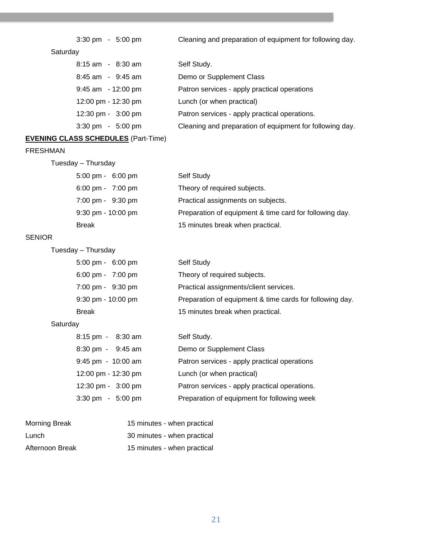| 3:30 pm |  | $5:00$ pm |  |
|---------|--|-----------|--|
|---------|--|-----------|--|

3:30 pm - 5:00 pm Cleaning and preparation of equipment for following day.

### **Saturday**

| $8:15$ am - $8:30$ am               | Self Study.                                              |
|-------------------------------------|----------------------------------------------------------|
| $8:45$ am - $9:45$ am               | Demo or Supplement Class                                 |
| $9:45$ am $-12:00$ pm               | Patron services - apply practical operations             |
| 12:00 pm - 12:30 pm                 | Lunch (or when practical)                                |
| 12:30 pm - 3:00 pm                  | Patron services - apply practical operations.            |
| $3:30 \text{ pm} - 5:00 \text{ pm}$ | Cleaning and preparation of equipment for following day. |

### **EVENING CLASS SCHEDULES** (Part-Time)

### FRESHMAN

| Tuesday - Thursday                  |                                                         |
|-------------------------------------|---------------------------------------------------------|
| $5:00 \text{ pm} - 6:00 \text{ pm}$ | Self Study                                              |
| $6:00 \text{ pm} - 7:00 \text{ pm}$ | Theory of required subjects.                            |
| 7:00 pm - 9:30 pm                   | Practical assignments on subjects.                      |
| $9:30$ pm - $10:00$ pm              | Preparation of equipment & time card for following day. |
| <b>Break</b>                        | 15 minutes break when practical.                        |

### SENIOR

| Tuesday - Thursday |  |
|--------------------|--|
|--------------------|--|

| $5:00 \text{ pm} - 6:00 \text{ pm}$ | Self Study                                               |
|-------------------------------------|----------------------------------------------------------|
| $6:00 \text{ pm} - 7:00 \text{ pm}$ | Theory of required subjects.                             |
| 7:00 pm - 9:30 pm                   | Practical assignments/client services.                   |
| $9:30$ pm - $10:00$ pm              | Preparation of equipment & time cards for following day. |
| Break                               | 15 minutes break when practical.                         |

### **Saturday**

| 8:15 pm - 8:30 am                   | Self Study.                                   |
|-------------------------------------|-----------------------------------------------|
| 8:30 pm - 9:45 am                   | Demo or Supplement Class                      |
| $9:45$ pm - 10:00 am                | Patron services - apply practical operations  |
| 12:00 pm - 12:30 pm                 | Lunch (or when practical)                     |
| 12:30 pm - 3:00 pm                  | Patron services - apply practical operations. |
| $3:30 \text{ pm} - 5:00 \text{ pm}$ | Preparation of equipment for following week   |

<span id="page-20-0"></span>

| Morning Break   | 15 minutes - when practical |
|-----------------|-----------------------------|
| Lunch           | 30 minutes - when practical |
| Afternoon Break | 15 minutes - when practical |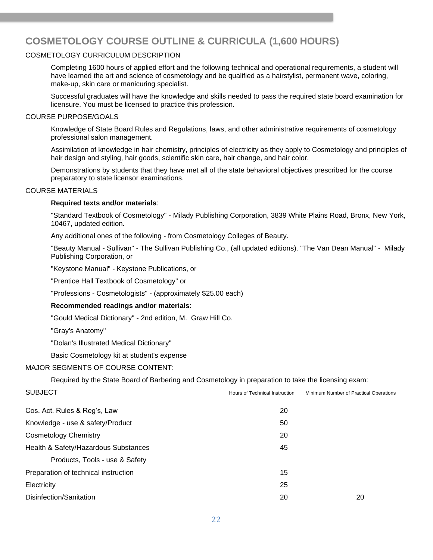# **COSMETOLOGY COURSE OUTLINE & CURRICULA (1,600 HOURS)**

#### COSMETOLOGY CURRICULUM DESCRIPTION

Completing 1600 hours of applied effort and the following technical and operational requirements, a student will have learned the art and science of cosmetology and be qualified as a hairstylist, permanent wave, coloring, make-up, skin care or manicuring specialist.

Successful graduates will have the knowledge and skills needed to pass the required state board examination for licensure. You must be licensed to practice this profession.

#### COURSE PURPOSE/GOALS

Knowledge of State Board Rules and Regulations, laws, and other administrative requirements of cosmetology professional salon management.

Assimilation of knowledge in hair chemistry, principles of electricity as they apply to Cosmetology and principles of hair design and styling, hair goods, scientific skin care, hair change, and hair color.

Demonstrations by students that they have met all of the state behavioral objectives prescribed for the course preparatory to state licensor examinations.

#### COURSE MATERIALS

#### **Required texts and/or materials**:

"Standard Textbook of Cosmetology" - Milady Publishing Corporation, 3839 White Plains Road, Bronx, New York, 10467, updated edition.

Any additional ones of the following - from Cosmetology Colleges of Beauty.

"Beauty Manual - Sullivan" - The Sullivan Publishing Co., (all updated editions). "The Van Dean Manual" - Milady Publishing Corporation, or

"Keystone Manual" - Keystone Publications, or

"Prentice Hall Textbook of Cosmetology" or

"Professions - Cosmetologists" - (approximately \$25.00 each)

#### **Recommended readings and/or materials**:

"Gould Medical Dictionary" - 2nd edition, M. Graw Hill Co.

"Gray's Anatomy"

"Dolan's Illustrated Medical Dictionary"

Basic Cosmetology kit at student's expense

#### MAJOR SEGMENTS OF COURSE CONTENT:

Required by the State Board of Barbering and Cosmetology in preparation to take the licensing exam:

| <b>SUBJECT</b>                       | Hours of Technical Instruction | Minimum Number of Practical Operations |
|--------------------------------------|--------------------------------|----------------------------------------|
| Cos. Act. Rules & Reg's, Law         | 20                             |                                        |
| Knowledge - use & safety/Product     | 50                             |                                        |
| <b>Cosmetology Chemistry</b>         | 20                             |                                        |
| Health & Safety/Hazardous Substances | 45                             |                                        |
| Products, Tools - use & Safety       |                                |                                        |
| Preparation of technical instruction | 15                             |                                        |
| Electricity                          | 25                             |                                        |
| Disinfection/Sanitation              | 20                             | 20                                     |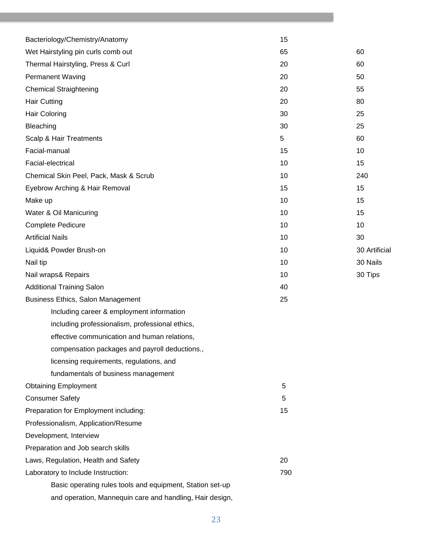| Bacteriology/Chemistry/Anatomy                            | 15  |               |
|-----------------------------------------------------------|-----|---------------|
| Wet Hairstyling pin curls comb out                        | 65  | 60            |
| Thermal Hairstyling, Press & Curl                         | 20  | 60            |
| <b>Permanent Waving</b>                                   | 20  | 50            |
| <b>Chemical Straightening</b>                             | 20  | 55            |
| <b>Hair Cutting</b>                                       | 20  | 80            |
| <b>Hair Coloring</b>                                      | 30  | 25            |
| Bleaching                                                 | 30  | 25            |
| Scalp & Hair Treatments                                   | 5   | 60            |
| Facial-manual                                             | 15  | 10            |
| Facial-electrical                                         | 10  | 15            |
| Chemical Skin Peel, Pack, Mask & Scrub                    | 10  | 240           |
| Eyebrow Arching & Hair Removal                            | 15  | 15            |
| Make up                                                   | 10  | 15            |
| Water & Oil Manicuring                                    | 10  | 15            |
| Complete Pedicure                                         | 10  | 10            |
| <b>Artificial Nails</b>                                   | 10  | 30            |
| Liquid& Powder Brush-on                                   | 10  | 30 Artificial |
| Nail tip                                                  | 10  | 30 Nails      |
| Nail wraps& Repairs                                       | 10  | 30 Tips       |
| <b>Additional Training Salon</b>                          | 40  |               |
| Business Ethics, Salon Management                         | 25  |               |
| Including career & employment information                 |     |               |
| including professionalism, professional ethics,           |     |               |
| effective communication and human relations,              |     |               |
| compensation packages and payroll deductions.             |     |               |
| licensing requirements, regulations, and                  |     |               |
| fundamentals of business management                       |     |               |
| <b>Obtaining Employment</b>                               | 5   |               |
| <b>Consumer Safety</b>                                    | 5   |               |
| Preparation for Employment including:                     | 15  |               |
| Professionalism, Application/Resume                       |     |               |
| Development, Interview                                    |     |               |
| Preparation and Job search skills                         |     |               |
| Laws, Regulation, Health and Safety                       | 20  |               |
| Laboratory to Include Instruction:                        | 790 |               |
| Basic operating rules tools and equipment, Station set-up |     |               |
| and operation, Mannequin care and handling, Hair design,  |     |               |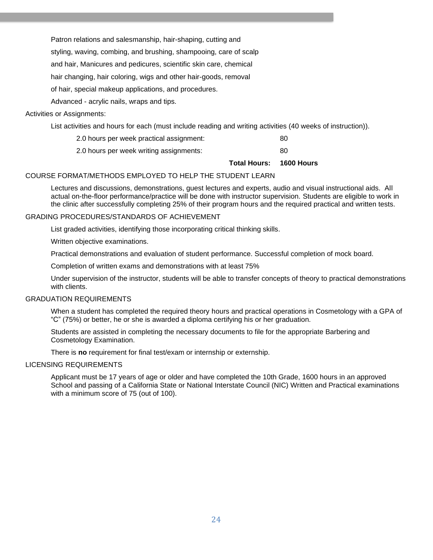Patron relations and salesmanship, hair-shaping, cutting and

styling, waving, combing, and brushing, shampooing, care of scalp

and hair, Manicures and pedicures, scientific skin care, chemical

hair changing, hair coloring, wigs and other hair-goods, removal

of hair, special makeup applications, and procedures.

Advanced - acrylic nails, wraps and tips.

#### Activities or Assignments:

List activities and hours for each (must include reading and writing activities (40 weeks of instruction)).

| 2.0 hours per week practical assignment: | 80 |  |
|------------------------------------------|----|--|
| 2.0 hours per week writing assignments:  | 80 |  |

**Total Hours: 1600 Hours**

#### COURSE FORMAT/METHODS EMPLOYED TO HELP THE STUDENT LEARN

Lectures and discussions, demonstrations, guest lectures and experts, audio and visual instructional aids. All actual on-the-floor performance/practice will be done with instructor supervision. Students are eligible to work in the clinic after successfully completing 25% of their program hours and the required practical and written tests.

#### GRADING PROCEDURES/STANDARDS OF ACHIEVEMENT

List graded activities, identifying those incorporating critical thinking skills.

Written objective examinations.

Practical demonstrations and evaluation of student performance. Successful completion of mock board.

Completion of written exams and demonstrations with at least 75%

Under supervision of the instructor, students will be able to transfer concepts of theory to practical demonstrations with clients.

#### GRADUATION REQUIREMENTS

When a student has completed the required theory hours and practical operations in Cosmetology with a GPA of "C" (75%) or better, he or she is awarded a diploma certifying his or her graduation.

Students are assisted in completing the necessary documents to file for the appropriate Barbering and Cosmetology Examination.

There is **no** requirement for final test/exam or internship or externship.

#### LICENSING REQUIREMENTS

Applicant must be 17 years of age or older and have completed the 10th Grade, 1600 hours in an approved School and passing of a California State or National Interstate Council (NIC) Written and Practical examinations with a minimum score of 75 (out of 100).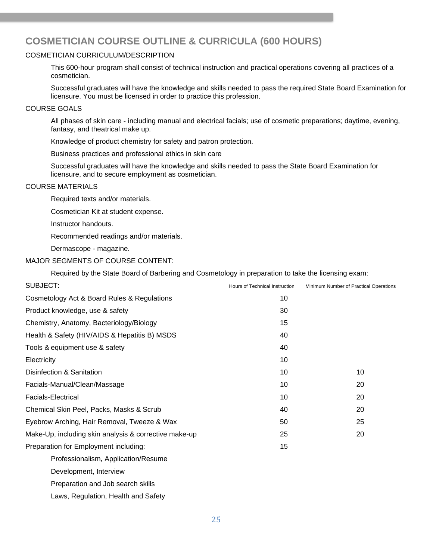# <span id="page-24-0"></span>**COSMETICIAN COURSE OUTLINE & CURRICULA (600 HOURS)**

#### COSMETICIAN CURRICULUM/DESCRIPTION

This 600-hour program shall consist of technical instruction and practical operations covering all practices of a cosmetician.

Successful graduates will have the knowledge and skills needed to pass the required State Board Examination for licensure. You must be licensed in order to practice this profession.

#### COURSE GOALS

All phases of skin care - including manual and electrical facials; use of cosmetic preparations; daytime, evening, fantasy, and theatrical make up.

Knowledge of product chemistry for safety and patron protection.

Business practices and professional ethics in skin care

Successful graduates will have the knowledge and skills needed to pass the State Board Examination for licensure, and to secure employment as cosmetician.

#### COURSE MATERIALS

Required texts and/or materials.

Cosmetician Kit at student expense.

Instructor handouts.

Recommended readings and/or materials.

Dermascope - magazine.

#### MAJOR SEGMENTS OF COURSE CONTENT:

Required by the State Board of Barbering and Cosmetology in preparation to take the licensing exam:

| SUBJECT:                                              | Hours of Technical Instruction | Minimum Number of Practical Operations |
|-------------------------------------------------------|--------------------------------|----------------------------------------|
| Cosmetology Act & Board Rules & Regulations           | 10                             |                                        |
| Product knowledge, use & safety                       | 30                             |                                        |
| Chemistry, Anatomy, Bacteriology/Biology              | 15                             |                                        |
| Health & Safety (HIV/AIDS & Hepatitis B) MSDS         | 40                             |                                        |
| Tools & equipment use & safety                        | 40                             |                                        |
| Electricity                                           | 10                             |                                        |
| Disinfection & Sanitation                             | 10                             | 10                                     |
| Facials-Manual/Clean/Massage                          | 10                             | 20                                     |
| <b>Facials-Electrical</b>                             | 10                             | 20                                     |
| Chemical Skin Peel, Packs, Masks & Scrub              | 40                             | 20                                     |
| Eyebrow Arching, Hair Removal, Tweeze & Wax           | 50                             | 25                                     |
| Make-Up, including skin analysis & corrective make-up | 25                             | 20                                     |
| Preparation for Employment including:                 | 15                             |                                        |
| Professionalism, Application/Resume                   |                                |                                        |
| Development, Interview                                |                                |                                        |
| Preparation and Job search skills                     |                                |                                        |
| Laws, Regulation, Health and Safety                   |                                |                                        |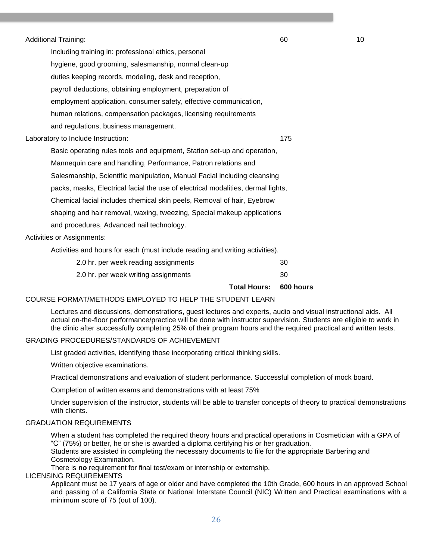Additional Training: 60 10

Including training in: professional ethics, personal hygiene, good grooming, salesmanship, normal clean-up duties keeping records, modeling, desk and reception, payroll deductions, obtaining employment, preparation of employment application, consumer safety, effective communication, human relations, compensation packages, licensing requirements and regulations, business management.

Laboratory to Include Instruction: 175

Basic operating rules tools and equipment, Station set-up and operation, Mannequin care and handling, Performance, Patron relations and Salesmanship, Scientific manipulation, Manual Facial including cleansing packs, masks, Electrical facial the use of electrical modalities, dermal lights, Chemical facial includes chemical skin peels, Removal of hair, Eyebrow shaping and hair removal, waxing, tweezing, Special makeup applications and procedures, Advanced nail technology.

Activities or Assignments:

Activities and hours for each (must include reading and writing activities).

| 2.0 hr. per week reading assignments | 30  |
|--------------------------------------|-----|
| 2.0 hr. per week writing assignments | -30 |

**Total Hours: 600 hours**

### COURSE FORMAT/METHODS EMPLOYED TO HELP THE STUDENT LEARN

Lectures and discussions, demonstrations, guest lectures and experts, audio and visual instructional aids. All actual on-the-floor performance/practice will be done with instructor supervision. Students are eligible to work in the clinic after successfully completing 25% of their program hours and the required practical and written tests.

#### GRADING PROCEDURES/STANDARDS OF ACHIEVEMENT

List graded activities, identifying those incorporating critical thinking skills.

Written objective examinations.

Practical demonstrations and evaluation of student performance. Successful completion of mock board.

Completion of written exams and demonstrations with at least 75%

Under supervision of the instructor, students will be able to transfer concepts of theory to practical demonstrations with clients.

#### GRADUATION REQUIREMENTS

When a student has completed the required theory hours and practical operations in Cosmetician with a GPA of "C" (75%) or better, he or she is awarded a diploma certifying his or her graduation.

Students are assisted in completing the necessary documents to file for the appropriate Barbering and Cosmetology Examination.

There is **no** requirement for final test/exam or internship or externship.

#### LICENSING REQUIREMENTS

Applicant must be 17 years of age or older and have completed the 10th Grade, 600 hours in an approved School and passing of a California State or National Interstate Council (NIC) Written and Practical examinations with a minimum score of 75 (out of 100).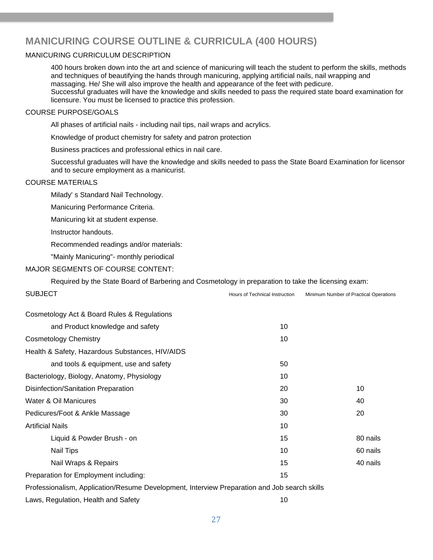# <span id="page-26-0"></span>**MANICURING COURSE OUTLINE & CURRICULA (400 HOURS)**

#### MANICURING CURRICULUM DESCRIPTION

400 hours broken down into the art and science of manicuring will teach the student to perform the skills, methods and techniques of beautifying the hands through manicuring, applying artificial nails, nail wrapping and massaging. He/ She will also improve the health and appearance of the feet with pedicure. Successful graduates will have the knowledge and skills needed to pass the required state board examination for licensure. You must be licensed to practice this profession.

#### COURSE PURPOSE/GOALS

All phases of artificial nails - including nail tips, nail wraps and acrylics.

Knowledge of product chemistry for safety and patron protection

Business practices and professional ethics in nail care.

Successful graduates will have the knowledge and skills needed to pass the State Board Examination for licensor and to secure employment as a manicurist.

#### COURSE MATERIALS

Milady' s Standard Nail Technology.

Manicuring Performance Criteria.

Manicuring kit at student expense.

Instructor handouts.

Recommended readings and/or materials:

"Mainly Manicuring"- monthly periodical

#### MAJOR SEGMENTS OF COURSE CONTENT:

Required by the State Board of Barbering and Cosmetology in preparation to take the licensing exam:

| <b>SUBJECT</b>                                                                               | Hours of Technical Instruction | Minimum Number of Practical Operations |
|----------------------------------------------------------------------------------------------|--------------------------------|----------------------------------------|
| Cosmetology Act & Board Rules & Regulations                                                  |                                |                                        |
| and Product knowledge and safety                                                             | 10                             |                                        |
| <b>Cosmetology Chemistry</b>                                                                 | 10                             |                                        |
| Health & Safety, Hazardous Substances, HIV/AIDS                                              |                                |                                        |
| and tools & equipment, use and safety                                                        | 50                             |                                        |
| Bacteriology, Biology, Anatomy, Physiology                                                   | 10                             |                                        |
| Disinfection/Sanitation Preparation                                                          | 20                             | 10                                     |
| Water & Oil Manicures                                                                        | 30                             | 40                                     |
| Pedicures/Foot & Ankle Massage                                                               | 30                             | 20                                     |
| <b>Artificial Nails</b>                                                                      | 10                             |                                        |
| Liquid & Powder Brush - on                                                                   | 15                             | 80 nails                               |
| <b>Nail Tips</b>                                                                             | 10                             | 60 nails                               |
| Nail Wraps & Repairs                                                                         | 15                             | 40 nails                               |
| Preparation for Employment including:                                                        | 15                             |                                        |
| Professionalism, Application/Resume Development, Interview Preparation and Job search skills |                                |                                        |
|                                                                                              |                                |                                        |

Laws, Regulation, Health and Safety 10 and 10 and 10 and 10 and 10 and 10 and 10 and 10 and 10 and 10 and 10 and 10 and 10 and 10 and 10 and 10 and 10 and 10 and 10 and 10 and 10 and 10 and 10 and 10 and 10 and 10 and 10 a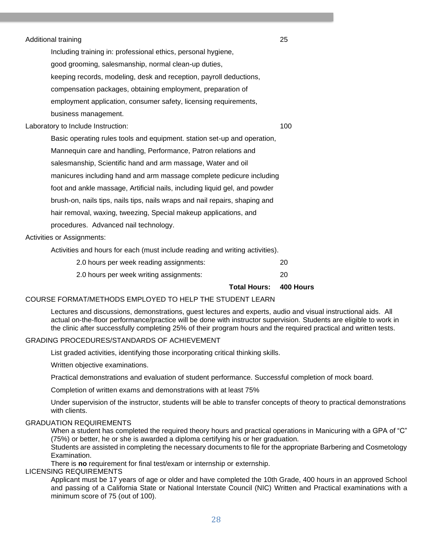| Additional training |  |
|---------------------|--|
|---------------------|--|

Including training in: professional ethics, personal hygiene, good grooming, salesmanship, normal clean-up duties, keeping records, modeling, desk and reception, payroll deductions, compensation packages, obtaining employment, preparation of employment application, consumer safety, licensing requirements, business management.

Laboratory to Include Instruction: 100

Basic operating rules tools and equipment. station set-up and operation, Mannequin care and handling, Performance, Patron relations and salesmanship, Scientific hand and arm massage, Water and oil manicures including hand and arm massage complete pedicure including foot and ankle massage, Artificial nails, including liquid gel, and powder brush-on, nails tips, nails tips, nails wraps and nail repairs, shaping and hair removal, waxing, tweezing, Special makeup applications, and procedures. Advanced nail technology.

Activities or Assignments:

Activities and hours for each (must include reading and writing activities).

| 2.0 hours per week reading assignments: | -20 |
|-----------------------------------------|-----|
| 2.0 hours per week writing assignments: | -20 |

**Total Hours: 400 Hours** 

### COURSE FORMAT/METHODS EMPLOYED TO HELP THE STUDENT LEARN

Lectures and discussions, demonstrations, guest lectures and experts, audio and visual instructional aids. All actual on-the-floor performance/practice will be done with instructor supervision. Students are eligible to work in the clinic after successfully completing 25% of their program hours and the required practical and written tests.

#### GRADING PROCEDURES/STANDARDS OF ACHIEVEMENT

List graded activities, identifying those incorporating critical thinking skills.

Written objective examinations.

Practical demonstrations and evaluation of student performance. Successful completion of mock board.

Completion of written exams and demonstrations with at least 75%

Under supervision of the instructor, students will be able to transfer concepts of theory to practical demonstrations with clients.

#### GRADUATION REQUIREMENTS

When a student has completed the required theory hours and practical operations in Manicuring with a GPA of "C" (75%) or better, he or she is awarded a diploma certifying his or her graduation.

Students are assisted in completing the necessary documents to file for the appropriate Barbering and Cosmetology Examination.

There is **no** requirement for final test/exam or internship or externship.

#### LICENSING REQUIREMENTS

Applicant must be 17 years of age or older and have completed the 10th Grade, 400 hours in an approved School and passing of a California State or National Interstate Council (NIC) Written and Practical examinations with a minimum score of 75 (out of 100).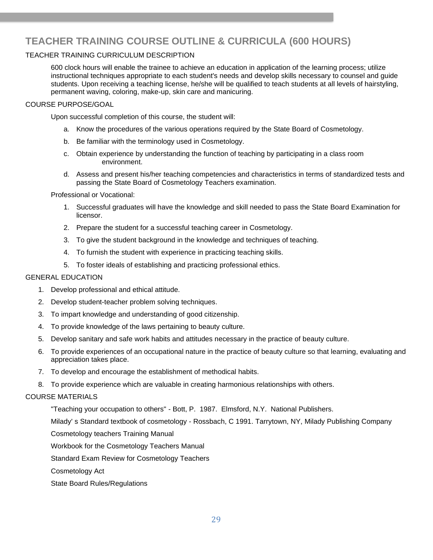# <span id="page-28-0"></span>**TEACHER TRAINING COURSE OUTLINE & CURRICULA (600 HOURS)**

#### TEACHER TRAINING CURRICULUM DESCRIPTION

600 clock hours will enable the trainee to achieve an education in application of the learning process; utilize instructional techniques appropriate to each student's needs and develop skills necessary to counsel and guide students. Upon receiving a teaching license, he/she will be qualified to teach students at all levels of hairstyling, permanent waving, coloring, make-up, skin care and manicuring.

#### COURSE PURPOSE/GOAL

Upon successful completion of this course, the student will:

- a. Know the procedures of the various operations required by the State Board of Cosmetology.
- b. Be familiar with the terminology used in Cosmetology.
- c. Obtain experience by understanding the function of teaching by participating in a class room environment.
- d. Assess and present his/her teaching competencies and characteristics in terms of standardized tests and passing the State Board of Cosmetology Teachers examination.

Professional or Vocational:

- 1. Successful graduates will have the knowledge and skill needed to pass the State Board Examination for licensor.
- 2. Prepare the student for a successful teaching career in Cosmetology.
- 3. To give the student background in the knowledge and techniques of teaching.
- 4. To furnish the student with experience in practicing teaching skills.
- 5. To foster ideals of establishing and practicing professional ethics.

#### GENERAL EDUCATION

- 1. Develop professional and ethical attitude.
- 2. Develop student-teacher problem solving techniques.
- 3. To impart knowledge and understanding of good citizenship.
- 4. To provide knowledge of the laws pertaining to beauty culture.
- 5. Develop sanitary and safe work habits and attitudes necessary in the practice of beauty culture.
- 6. To provide experiences of an occupational nature in the practice of beauty culture so that learning, evaluating and appreciation takes place.
- 7. To develop and encourage the establishment of methodical habits.
- 8. To provide experience which are valuable in creating harmonious relationships with others.

#### COURSE MATERIALS

"Teaching your occupation to others" - Bott, P. 1987. Elmsford, N.Y. National Publishers.

Milady' s Standard textbook of cosmetology - Rossbach, C 1991. Tarrytown, NY, Milady Publishing Company

Cosmetology teachers Training Manual

Workbook for the Cosmetology Teachers Manual

Standard Exam Review for Cosmetology Teachers

Cosmetology Act

State Board Rules/Regulations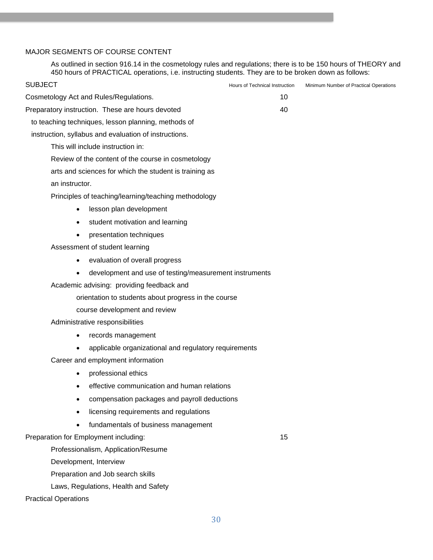### MAJOR SEGMENTS OF COURSE CONTENT

As outlined in section 916.14 in the cosmetology rules and regulations; there is to be 150 hours of THEORY and 450 hours of PRACTICAL operations, i.e. instructing students. They are to be broken down as follows:

| SUBJECT                                                             | Hours of Technical Instruction | Minimum Number of Practical Operations |
|---------------------------------------------------------------------|--------------------------------|----------------------------------------|
| Cosmetology Act and Rules/Regulations.                              | 10                             |                                        |
| Preparatory instruction. These are hours devoted                    | 40                             |                                        |
| to teaching techniques, lesson planning, methods of                 |                                |                                        |
| instruction, syllabus and evaluation of instructions.               |                                |                                        |
| This will include instruction in:                                   |                                |                                        |
| Review of the content of the course in cosmetology                  |                                |                                        |
| arts and sciences for which the student is training as              |                                |                                        |
| an instructor.                                                      |                                |                                        |
| Principles of teaching/learning/teaching methodology                |                                |                                        |
| lesson plan development<br>$\bullet$                                |                                |                                        |
| student motivation and learning<br>$\bullet$                        |                                |                                        |
| presentation techniques<br>$\bullet$                                |                                |                                        |
| Assessment of student learning                                      |                                |                                        |
| evaluation of overall progress<br>$\bullet$                         |                                |                                        |
| development and use of testing/measurement instruments<br>$\bullet$ |                                |                                        |
| Academic advising: providing feedback and                           |                                |                                        |
| orientation to students about progress in the course                |                                |                                        |
| course development and review                                       |                                |                                        |
| Administrative responsibilities                                     |                                |                                        |
| records management<br>$\bullet$                                     |                                |                                        |
| applicable organizational and regulatory requirements               |                                |                                        |
| Career and employment information                                   |                                |                                        |
| professional ethics<br>$\bullet$                                    |                                |                                        |
| effective communication and human relations                         |                                |                                        |
| compensation packages and payroll deductions                        |                                |                                        |
| licensing requirements and regulations                              |                                |                                        |
| fundamentals of business management                                 |                                |                                        |
| Preparation for Employment including:                               | 15                             |                                        |
| Professionalism, Application/Resume                                 |                                |                                        |
| Development, Interview                                              |                                |                                        |
| Preparation and Job search skills                                   |                                |                                        |
| Laws, Regulations, Health and Safety                                |                                |                                        |
| <b>Practical Operations</b>                                         |                                |                                        |
|                                                                     |                                |                                        |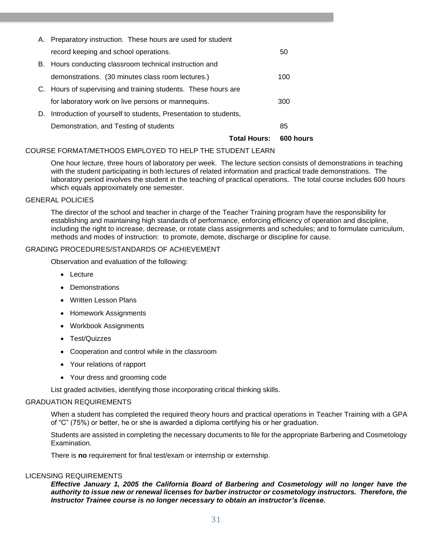| <b>Total Hours:</b>                                                | <b>600 hours</b> |
|--------------------------------------------------------------------|------------------|
| Demonstration, and Testing of students                             | 85               |
| D. Introduction of yourself to students, Presentation to students, |                  |
| for laboratory work on live persons or mannequins.                 | 300              |
| C. Hours of supervising and training students. These hours are     |                  |
| demonstrations. (30 minutes class room lectures.)                  | 100              |
| B. Hours conducting classroom technical instruction and            |                  |
| record keeping and school operations.                              | 50               |
| A. Preparatory instruction. These hours are used for student       |                  |

#### COURSE FORMAT/METHODS EMPLOYED TO HELP THE STUDENT LEARN

One hour lecture, three hours of laboratory per week. The lecture section consists of demonstrations in teaching with the student participating in both lectures of related information and practical trade demonstrations. The laboratory period involves the student in the teaching of practical operations. The total course includes 600 hours which equals approximately one semester.

#### GENERAL POLICIES

The director of the school and teacher in charge of the Teacher Training program have the responsibility for establishing and maintaining high standards of performance, enforcing efficiency of operation and discipline, including the right to increase, decrease, or rotate class assignments and schedules; and to formulate curriculum, methods and modes of instruction: to promote, demote, discharge or discipline for cause.

#### GRADING PROCEDURES/STANDARDS OF ACHIEVEMENT

Observation and evaluation of the following:

- Lecture
- **Demonstrations**
- Written Lesson Plans
- Homework Assignments
- Workbook Assignments
- Test/Quizzes
- Cooperation and control while in the classroom
- Your relations of rapport
- Your dress and grooming code

List graded activities, identifying those incorporating critical thinking skills.

#### GRADUATION REQUIREMENTS

When a student has completed the required theory hours and practical operations in Teacher Training with a GPA of "C" (75%) or better, he or she is awarded a diploma certifying his or her graduation.

Students are assisted in completing the necessary documents to file for the appropriate Barbering and Cosmetology Examination.

There is **no** requirement for final test/exam or internship or externship.

#### LICENSING REQUIREMENTS

*Effective January 1, 2005 the California Board of Barbering and Cosmetology will no longer have the authority to issue new or renewal licenses for barber instructor or cosmetology instructors. Therefore, the Instructor Trainee course is no longer necessary to obtain an instructor's license.*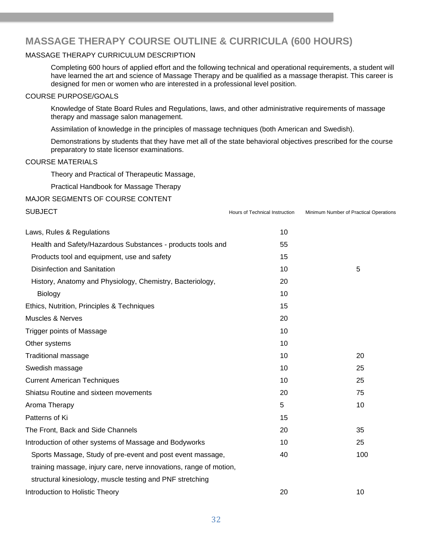### **MASSAGE THERAPY COURSE OUTLINE & CURRICULA (600 HOURS)**

#### MASSAGE THERAPY CURRICULUM DESCRIPTION

Completing 600 hours of applied effort and the following technical and operational requirements, a student will have learned the art and science of Massage Therapy and be qualified as a massage therapist. This career is designed for men or women who are interested in a professional level position.

#### COURSE PURPOSE/GOALS

Knowledge of State Board Rules and Regulations, laws, and other administrative requirements of massage therapy and massage salon management.

Assimilation of knowledge in the principles of massage techniques (both American and Swedish).

Demonstrations by students that they have met all of the state behavioral objectives prescribed for the course preparatory to state licensor examinations.

#### COURSE MATERIALS

Theory and Practical of Therapeutic Massage,

Practical Handbook for Massage Therapy

#### MAJOR SEGMENTS OF COURSE CONTENT

| <b>SUBJECT</b>                                                     | Hours of Technical Instruction | Minimum Number of Practical Operations |
|--------------------------------------------------------------------|--------------------------------|----------------------------------------|
| Laws, Rules & Regulations                                          | 10                             |                                        |
| Health and Safety/Hazardous Substances - products tools and        | 55                             |                                        |
| Products tool and equipment, use and safety                        | 15                             |                                        |
| <b>Disinfection and Sanitation</b>                                 | 10                             | 5                                      |
| History, Anatomy and Physiology, Chemistry, Bacteriology,          | 20                             |                                        |
| Biology                                                            | 10                             |                                        |
| Ethics, Nutrition, Principles & Techniques                         | 15                             |                                        |
| <b>Muscles &amp; Nerves</b>                                        | 20                             |                                        |
| <b>Trigger points of Massage</b>                                   | 10                             |                                        |
| Other systems                                                      | 10                             |                                        |
| <b>Traditional massage</b>                                         | 10                             | 20                                     |
| Swedish massage                                                    | 10                             | 25                                     |
| <b>Current American Techniques</b>                                 | 10                             | 25                                     |
| Shiatsu Routine and sixteen movements                              | 20                             | 75                                     |
| Aroma Therapy                                                      | 5                              | 10                                     |
| Patterns of Ki                                                     | 15                             |                                        |
| The Front, Back and Side Channels                                  | 20                             | 35                                     |
| Introduction of other systems of Massage and Bodyworks             | 10                             | 25                                     |
| Sports Massage, Study of pre-event and post event massage,         | 40                             | 100                                    |
| training massage, injury care, nerve innovations, range of motion, |                                |                                        |
| structural kinesiology, muscle testing and PNF stretching          |                                |                                        |
| Introduction to Holistic Theory                                    | 20                             | 10                                     |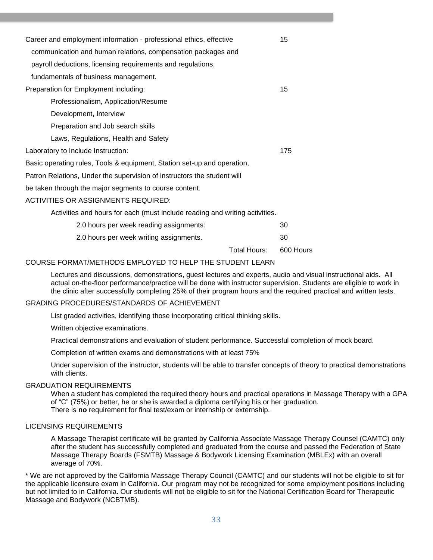| Career and employment information - professional ethics, effective          |    |
|-----------------------------------------------------------------------------|----|
| communication and human relations, compensation packages and                |    |
| payroll deductions, licensing requirements and regulations,                 |    |
| fundamentals of business management.                                        |    |
| Preparation for Employment including:                                       | 15 |
| Professionalism, Application/Resume                                         |    |
| Development, Interview                                                      |    |
| Preparation and Job search skills                                           |    |
| Laws, Regulations, Health and Safety                                        |    |
| Laboratory to Include Instruction:                                          |    |
| Basic operating rules, Tools & equipment, Station set-up and operation,     |    |
| Patron Relations, Under the supervision of instructors the student will     |    |
| be taken through the major segments to course content.                      |    |
| <b>ACTIVITIES OR ASSIGNMENTS REQUIRED:</b>                                  |    |
| Activities and hours for each (must include reading and writing activities. |    |
| 2.0 hours per week reading assignments:                                     | 30 |
| 2.0 hours per week writing assignments.                                     | 30 |

Total Hours: 600 Hours

#### COURSE FORMAT/METHODS EMPLOYED TO HELP THE STUDENT LEARN

Lectures and discussions, demonstrations, guest lectures and experts, audio and visual instructional aids. All actual on-the-floor performance/practice will be done with instructor supervision. Students are eligible to work in the clinic after successfully completing 25% of their program hours and the required practical and written tests.

#### GRADING PROCEDURES/STANDARDS OF ACHIEVEMENT

List graded activities, identifying those incorporating critical thinking skills.

Written objective examinations.

Practical demonstrations and evaluation of student performance. Successful completion of mock board.

Completion of written exams and demonstrations with at least 75%

Under supervision of the instructor, students will be able to transfer concepts of theory to practical demonstrations with clients.

#### GRADUATION REQUIREMENTS

When a student has completed the required theory hours and practical operations in Massage Therapy with a GPA of "C" (75%) or better, he or she is awarded a diploma certifying his or her graduation. There is **no** requirement for final test/exam or internship or externship.

#### LICENSING REQUIREMENTS

A Massage Therapist certificate will be granted by California Associate Massage Therapy Counsel (CAMTC) only after the student has successfully completed and graduated from the course and passed the Federation of State Massage Therapy Boards (FSMTB) Massage & Bodywork Licensing Examination (MBLEx) with an overall average of 70%.

\* We are not approved by the California Massage Therapy Council (CAMTC) and our students will not be eligible to sit for the applicable licensure exam in California. Our program may not be recognized for some employment positions including but not limited to in California. Our students will not be eligible to sit for the National Certification Board for Therapeutic Massage and Bodywork (NCBTMB).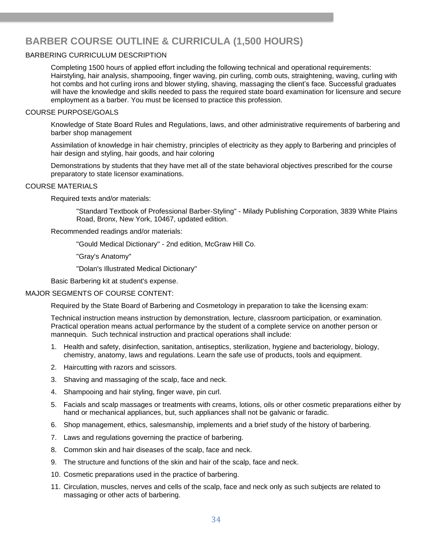# **BARBER COURSE OUTLINE & CURRICULA (1,500 HOURS)**

#### BARBERING CURRICULUM DESCRIPTION

Completing 1500 hours of applied effort including the following technical and operational requirements: Hairstyling, hair analysis, shampooing, finger waving, pin curling, comb outs, straightening, waving, curling with hot combs and hot curling irons and blower styling, shaving, massaging the client's face. Successful graduates will have the knowledge and skills needed to pass the required state board examination for licensure and secure employment as a barber. You must be licensed to practice this profession.

#### COURSE PURPOSE/GOALS

Knowledge of State Board Rules and Regulations, laws, and other administrative requirements of barbering and barber shop management

Assimilation of knowledge in hair chemistry, principles of electricity as they apply to Barbering and principles of hair design and styling, hair goods, and hair coloring

Demonstrations by students that they have met all of the state behavioral objectives prescribed for the course preparatory to state licensor examinations.

#### COURSE MATERIALS

Required texts and/or materials:

"Standard Textbook of Professional Barber-Styling" - Milady Publishing Corporation, 3839 White Plains Road, Bronx, New York, 10467, updated edition.

Recommended readings and/or materials:

"Gould Medical Dictionary" - 2nd edition, McGraw Hill Co.

"Gray's Anatomy"

"Dolan's Illustrated Medical Dictionary"

Basic Barbering kit at student's expense.

#### MAJOR SEGMENTS OF COURSE CONTENT:

Required by the State Board of Barbering and Cosmetology in preparation to take the licensing exam:

Technical instruction means instruction by demonstration, lecture, classroom participation, or examination. Practical operation means actual performance by the student of a complete service on another person or mannequin. Such technical instruction and practical operations shall include:

- 1. Health and safety, disinfection, sanitation, antiseptics, sterilization, hygiene and bacteriology, biology, chemistry, anatomy, laws and regulations. Learn the safe use of products, tools and equipment.
- 2. Haircutting with razors and scissors.
- 3. Shaving and massaging of the scalp, face and neck.
- 4. Shampooing and hair styling, finger wave, pin curl.
- 5. Facials and scalp massages or treatments with creams, lotions, oils or other cosmetic preparations either by hand or mechanical appliances, but, such appliances shall not be galvanic or faradic.
- 6. Shop management, ethics, salesmanship, implements and a brief study of the history of barbering.
- 7. Laws and regulations governing the practice of barbering.
- 8. Common skin and hair diseases of the scalp, face and neck.
- 9. The structure and functions of the skin and hair of the scalp, face and neck.
- 10. Cosmetic preparations used in the practice of barbering.
- 11. Circulation, muscles, nerves and cells of the scalp, face and neck only as such subjects are related to massaging or other acts of barbering.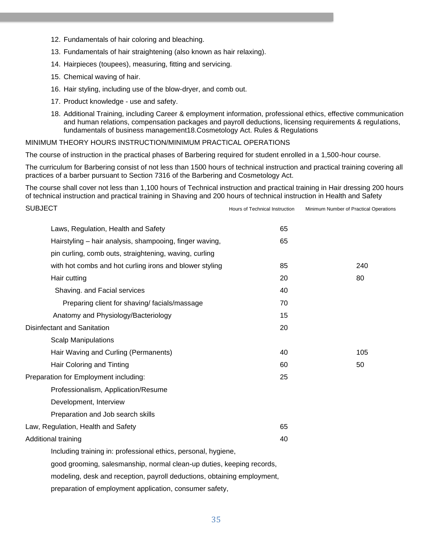- 12. Fundamentals of hair coloring and bleaching.
- 13. Fundamentals of hair straightening (also known as hair relaxing).
- 14. Hairpieces (toupees), measuring, fitting and servicing.
- 15. Chemical waving of hair.
- 16. Hair styling, including use of the blow-dryer, and comb out.
- 17. Product knowledge use and safety.
- 18. Additional Training, including Career & employment information, professional ethics, effective communication and human relations, compensation packages and payroll deductions, licensing requirements & regulations, fundamentals of business management18.Cosmetology Act. Rules & Regulations

MINIMUM THEORY HOURS INSTRUCTION/MINIMUM PRACTICAL OPERATIONS

The course of instruction in the practical phases of Barbering required for student enrolled in a 1,500-hour course.

The curriculum for Barbering consist of not less than 1500 hours of technical instruction and practical training covering all practices of a barber pursuant to Section 7316 of the Barbering and Cosmetology Act.

The course shall cover not less than 1,100 hours of Technical instruction and practical training in Hair dressing 200 hours of technical instruction and practical training in Shaving and 200 hours of technical instruction in Health and Safety

| <b>SUBJECT</b> |                                                                         | Hours of Technical Instruction | Minimum Number of Practical Operations |
|----------------|-------------------------------------------------------------------------|--------------------------------|----------------------------------------|
|                | Laws, Regulation, Health and Safety                                     | 65                             |                                        |
|                | Hairstyling - hair analysis, shampooing, finger waving,                 | 65                             |                                        |
|                | pin curling, comb outs, straightening, waving, curling                  |                                |                                        |
|                | with hot combs and hot curling irons and blower styling                 | 85                             | 240                                    |
|                | Hair cutting                                                            | 20                             | 80                                     |
|                | Shaving. and Facial services                                            | 40                             |                                        |
|                | Preparing client for shaving/facials/massage                            | 70                             |                                        |
|                | Anatomy and Physiology/Bacteriology                                     | 15                             |                                        |
|                | Disinfectant and Sanitation                                             | 20                             |                                        |
|                | <b>Scalp Manipulations</b>                                              |                                |                                        |
|                | Hair Waving and Curling (Permanents)                                    | 40                             | 105                                    |
|                | Hair Coloring and Tinting                                               | 60                             | 50                                     |
|                | Preparation for Employment including:                                   | 25                             |                                        |
|                | Professionalism, Application/Resume                                     |                                |                                        |
|                | Development, Interview                                                  |                                |                                        |
|                | Preparation and Job search skills                                       |                                |                                        |
|                | Law, Regulation, Health and Safety                                      | 65                             |                                        |
|                | Additional training                                                     | 40                             |                                        |
|                | Including training in: professional ethics, personal, hygiene,          |                                |                                        |
|                | good grooming, salesmanship, normal clean-up duties, keeping records,   |                                |                                        |
|                | modeling, desk and reception, payroll deductions, obtaining employment, |                                |                                        |
|                | preparation of employment application, consumer safety,                 |                                |                                        |
|                |                                                                         |                                |                                        |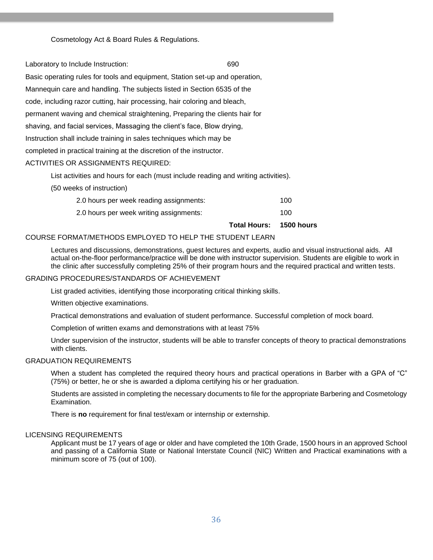Cosmetology Act & Board Rules & Regulations.

Laboratory to Include Instruction: 690

Basic operating rules for tools and equipment, Station set-up and operation, Mannequin care and handling. The subjects listed in Section 6535 of the code, including razor cutting, hair processing, hair coloring and bleach, permanent waving and chemical straightening, Preparing the clients hair for shaving, and facial services, Massaging the client's face, Blow drying, Instruction shall include training in sales techniques which may be completed in practical training at the discretion of the instructor.

#### ACTIVITIES OR ASSIGNMENTS REQUIRED:

List activities and hours for each (must include reading and writing activities).

(50 weeks of instruction)

| 2.0 hours per week reading assignments: | 100 |
|-----------------------------------------|-----|
| 2.0 hours per week writing assignments: | 100 |

**Total Hours: 1500 hours** 

#### COURSE FORMAT/METHODS EMPLOYED TO HELP THE STUDENT LEARN

Lectures and discussions, demonstrations, quest lectures and experts, audio and visual instructional aids. All actual on-the-floor performance/practice will be done with instructor supervision. Students are eligible to work in the clinic after successfully completing 25% of their program hours and the required practical and written tests.

#### GRADING PROCEDURES/STANDARDS OF ACHIEVEMENT

List graded activities, identifying those incorporating critical thinking skills.

Written objective examinations.

Practical demonstrations and evaluation of student performance. Successful completion of mock board.

Completion of written exams and demonstrations with at least 75%

Under supervision of the instructor, students will be able to transfer concepts of theory to practical demonstrations with clients.

#### GRADUATION REQUIREMENTS

When a student has completed the required theory hours and practical operations in Barber with a GPA of "C" (75%) or better, he or she is awarded a diploma certifying his or her graduation.

Students are assisted in completing the necessary documents to file for the appropriate Barbering and Cosmetology Examination.

There is **no** requirement for final test/exam or internship or externship.

#### LICENSING REQUIREMENTS

<span id="page-35-0"></span>Applicant must be 17 years of age or older and have completed the 10th Grade, 1500 hours in an approved School and passing of a California State or National Interstate Council (NIC) Written and Practical examinations with a minimum score of 75 (out of 100).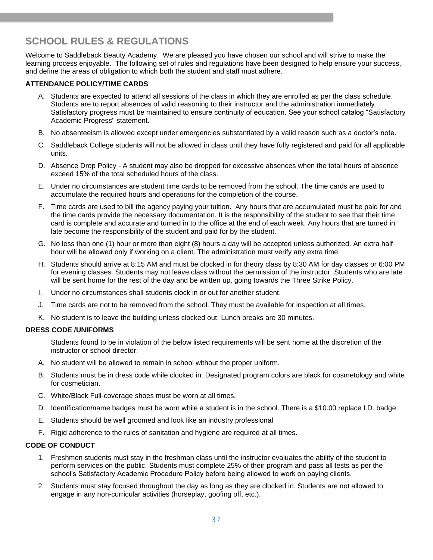# **SCHOOL RULES & REGULATIONS**

Welcome to Saddleback Beauty Academy. We are pleased you have chosen our school and will strive to make the learning process enjoyable. The following set of rules and regulations have been designed to help ensure your success, and define the areas of obligation to which both the student and staff must adhere.

#### **ATTENDANCE POLICY/TIME CARDS**

- A. Students are expected to attend all sessions of the class in which they are enrolled as per the class schedule. Students are to report absences of valid reasoning to their instructor and the administration immediately. Satisfactory progress must be maintained to ensure continuity of education. See your school catalog "Satisfactory Academic Progress" statement.
- B. No absenteeism is allowed except under emergencies substantiated by a valid reason such as a doctor's note.
- C. Saddleback College students will not be allowed in class until they have fully registered and paid for all applicable units.
- D. Absence Drop Policy A student may also be dropped for excessive absences when the total hours of absence exceed 15% of the total scheduled hours of the class.
- E. Under no circumstances are student time cards to be removed from the school. The time cards are used to accumulate the required hours and operations for the completion of the course.
- F. Time cards are used to bill the agency paying your tuition. Any hours that are accumulated must be paid for and the time cards provide the necessary documentation. It is the responsibility of the student to see that their time card is complete and accurate and turned in to the office at the end of each week. Any hours that are turned in late become the responsibility of the student and paid for by the student.
- G. No less than one (1) hour or more than eight (8) hours a day will be accepted unless authorized. An extra half hour will be allowed only if working on a client. The administration must verify any extra time.
- H. Students should arrive at 8:15 AM and must be clocked in for theory class by 8:30 AM for day classes or 6:00 PM for evening classes. Students may not leave class without the permission of the instructor. Students who are late will be sent home for the rest of the day and be written up, going towards the Three Strike Policy.
- I. Under no circumstances shall students clock in or out for another student.
- J. Time cards are not to be removed from the school. They must be available for inspection at all times.
- K. No student is to leave the building unless clocked out. Lunch breaks are 30 minutes.

#### **DRESS CODE /UNIFORMS**

Students found to be in violation of the below listed requirements will be sent home at the discretion of the instructor or school director:

- A. No student will be allowed to remain in school without the proper uniform.
- B. Students must be in dress code while clocked in. Designated program colors are black for cosmetology and white for cosmetician.
- C. White/Black Full-coverage shoes must be worn at all times.
- D. Identification/name badges must be worn while a student is in the school. There is a \$10.00 replace I.D. badge.
- E. Students should be well groomed and look like an industry professional
- F. Rigid adherence to the rules of sanitation and hygiene are required at all times.

#### **CODE OF CONDUCT**

- 1. Freshmen students must stay in the freshman class until the instructor evaluates the ability of the student to perform services on the public. Students must complete 25% of their program and pass all tests as per the school's Satisfactory Academic Procedure Policy before being allowed to work on paying clients.
- 2. Students must stay focused throughout the day as long as they are clocked in. Students are not allowed to engage in any non-curricular activities (horseplay, goofing off, etc.).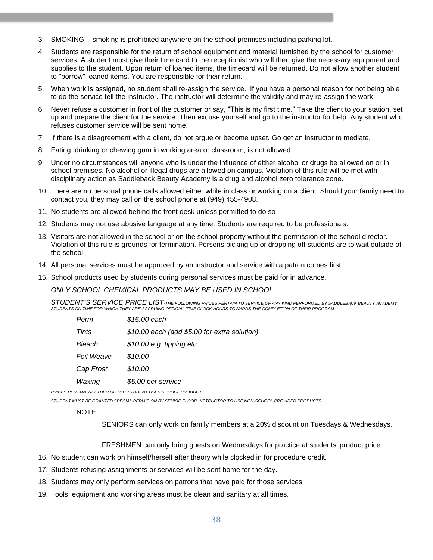- 3. SMOKING smoking is prohibited anywhere on the school premises including parking lot.
- 4. Students are responsible for the return of school equipment and material furnished by the school for customer services. A student must give their time card to the receptionist who will then give the necessary equipment and supplies to the student. Upon return of loaned items, the timecard will be returned. Do not allow another student to "borrow" loaned items. You are responsible for their return.
- 5. When work is assigned, no student shall re-assign the service. If you have a personal reason for not being able to do the service tell the instructor. The instructor will determine the validity and may re-assign the work.
- 6. Never refuse a customer in front of the customer or say, "This is my first time." Take the client to your station, set up and prepare the client for the service. Then excuse yourself and go to the instructor for help. Any student who refuses customer service will be sent home.
- 7. If there is a disagreement with a client, do not argue or become upset. Go get an instructor to mediate.
- 8. Eating, drinking or chewing gum in working area or classroom, is not allowed.
- 9. Under no circumstances will anyone who is under the influence of either alcohol or drugs be allowed on or in school premises. No alcohol or illegal drugs are allowed on campus. Violation of this rule will be met with disciplinary action as Saddleback Beauty Academy is a drug and alcohol zero tolerance zone.
- 10. There are no personal phone calls allowed either while in class or working on a client. Should your family need to contact you, they may call on the school phone at (949) 455-4908.
- 11. No students are allowed behind the front desk unless permitted to do so
- 12. Students may not use abusive language at any time. Students are required to be professionals.
- 13. Visitors are not allowed in the school or on the school property without the permission of the school director. Violation of this rule is grounds for termination. Persons picking up or dropping off students are to wait outside of the school.
- 14. All personal services must be approved by an instructor and service with a patron comes first.
- 15. School products used by students during personal services must be paid for in advance.

*ONLY SCHOOL CHEMICAL PRODUCTS MAY BE USED IN SCHOOL*

*STUDENT'S SERVICE PRICE LIST-THE FOLLOWING PRICES PERTAIN TO SERVICE OF ANY KIND PERFORMED BY SADDLEBACK BEAUTY ACADEMY STUDENTS ON TIME FOR WHICH THEY ARE ACCRUING OFFICIAL TIME CLOCK HOURS TOWARDS THE COMPLETION OF THEIR PROGRAM.*

| Perm       | \$15.00 each                                 |
|------------|----------------------------------------------|
| Tints      | \$10.00 each (add \$5.00 for extra solution) |
| Bleach     | $$10.00$ e.g. tipping etc.                   |
| Foil Weave | \$10.00                                      |
| Cap Frost  | \$10.00                                      |
| Waxing     | \$5.00 per service                           |

*PRICES PERTAIN WHETHER OR NOT STUDENT USES SCHOOL PRODUCT*

*STUDENT MUST BE GRANTED SPECIAL PERMISION BY SENIOR FLOOR INSTRUCTOR TO USE NON-SCHOOL PROVIDED PRODUCTS.*

#### NOTE:

SENIORS can only work on family members at a 20% discount on Tuesdays & Wednesdays.

FRESHMEN can only bring guests on Wednesdays for practice at students' product price.

- 16. No student can work on himself/herself after theory while clocked in for procedure credit.
- 17. Students refusing assignments or services will be sent home for the day.
- 18. Students may only perform services on patrons that have paid for those services.
- 19. Tools, equipment and working areas must be clean and sanitary at all times.